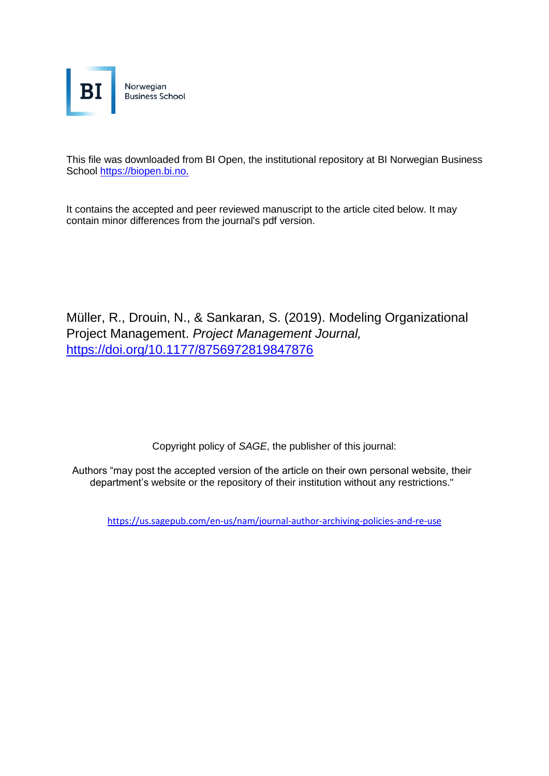

This file was downloaded from BI Open, the institutional repository at BI Norwegian Business School [https://biopen.bi.no.](https://biopen.bi.no./)

It contains the accepted and peer reviewed manuscript to the article cited below. It may contain minor differences from the journal's pdf version.

Müller, R., Drouin, N., & Sankaran, S. (2019). Modeling Organizational Project Management. *Project Management Journal,*  [https://doi.org/10.1177/8756972819847876](https://doi.org/10.1177%2F8756972819847876)

Copyright policy of *SAGE*, the publisher of this journal:

Authors "may post the accepted version of the article on their own personal website, their department's website or the repository of their institution without any restrictions."

<https://us.sagepub.com/en-us/nam/journal-author-archiving-policies-and-re-use>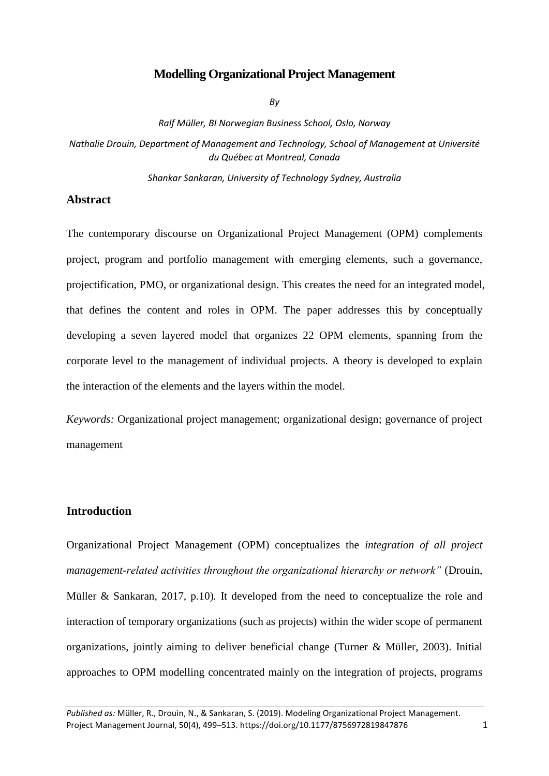# **Modelling Organizational Project Management**

*By*

*Ralf Müller, BI Norwegian Business School, Oslo, Norway*

*Nathalie Drouin, Department of Management and Technology, School of Management at Université du Québec at Montreal, Canada*

*Shankar Sankaran, University of Technology Sydney, Australia*

# **Abstract**

The contemporary discourse on Organizational Project Management (OPM) complements project, program and portfolio management with emerging elements, such a governance, projectification, PMO, or organizational design. This creates the need for an integrated model, that defines the content and roles in OPM. The paper addresses this by conceptually developing a seven layered model that organizes 22 OPM elements, spanning from the corporate level to the management of individual projects. A theory is developed to explain the interaction of the elements and the layers within the model.

*Keywords:* Organizational project management; organizational design; governance of project management

# **Introduction**

Organizational Project Management (OPM) conceptualizes the *integration of all project management-related activities throughout the organizational hierarchy or network"* (Drouin, Müller & Sankaran, 2017, p.10)*.* It developed from the need to conceptualize the role and interaction of temporary organizations (such as projects) within the wider scope of permanent organizations, jointly aiming to deliver beneficial change (Turner & Müller, 2003). Initial approaches to OPM modelling concentrated mainly on the integration of projects, programs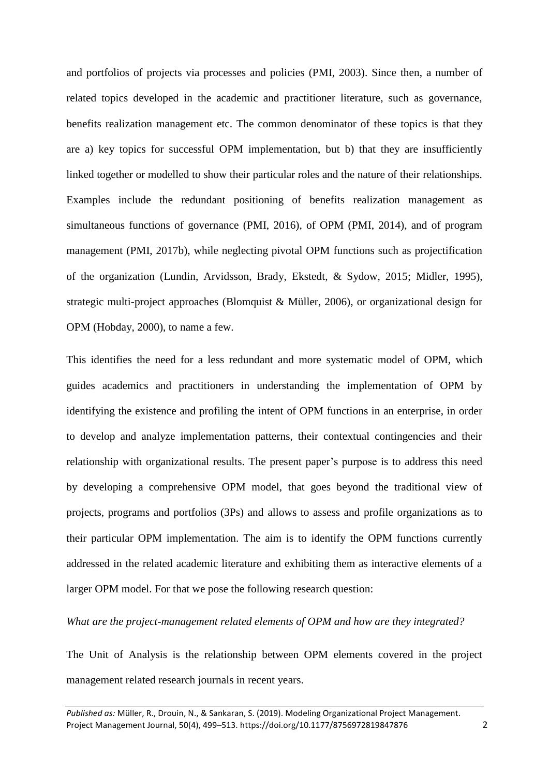and portfolios of projects via processes and policies (PMI, 2003). Since then, a number of related topics developed in the academic and practitioner literature, such as governance, benefits realization management etc. The common denominator of these topics is that they are a) key topics for successful OPM implementation, but b) that they are insufficiently linked together or modelled to show their particular roles and the nature of their relationships. Examples include the redundant positioning of benefits realization management as simultaneous functions of governance (PMI, 2016), of OPM (PMI, 2014), and of program management (PMI, 2017b), while neglecting pivotal OPM functions such as projectification of the organization (Lundin, Arvidsson, Brady, Ekstedt, & Sydow, 2015; Midler, 1995), strategic multi-project approaches (Blomquist & Müller, 2006), or organizational design for OPM (Hobday, 2000), to name a few.

This identifies the need for a less redundant and more systematic model of OPM, which guides academics and practitioners in understanding the implementation of OPM by identifying the existence and profiling the intent of OPM functions in an enterprise, in order to develop and analyze implementation patterns, their contextual contingencies and their relationship with organizational results. The present paper's purpose is to address this need by developing a comprehensive OPM model, that goes beyond the traditional view of projects, programs and portfolios (3Ps) and allows to assess and profile organizations as to their particular OPM implementation. The aim is to identify the OPM functions currently addressed in the related academic literature and exhibiting them as interactive elements of a larger OPM model. For that we pose the following research question:

## *What are the project-management related elements of OPM and how are they integrated?*

The Unit of Analysis is the relationship between OPM elements covered in the project management related research journals in recent years.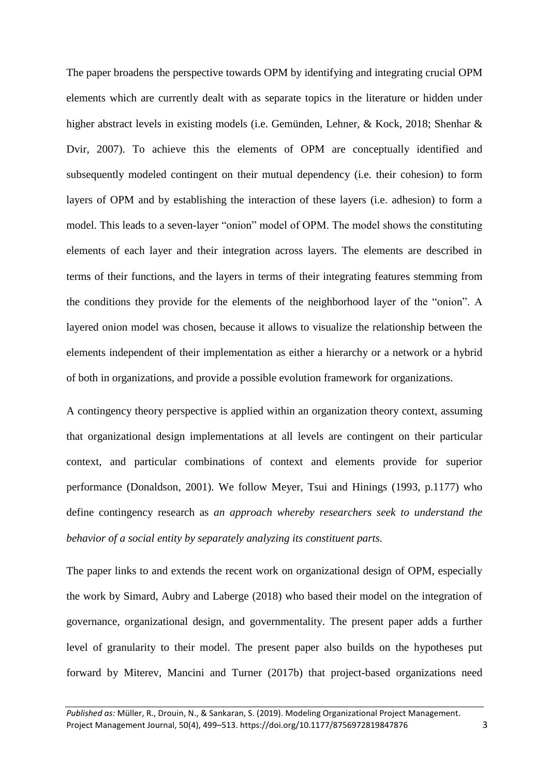The paper broadens the perspective towards OPM by identifying and integrating crucial OPM elements which are currently dealt with as separate topics in the literature or hidden under higher abstract levels in existing models (i.e. Gemünden, Lehner, & Kock, 2018; Shenhar & Dvir, 2007). To achieve this the elements of OPM are conceptually identified and subsequently modeled contingent on their mutual dependency (i.e. their cohesion) to form layers of OPM and by establishing the interaction of these layers (i.e. adhesion) to form a model. This leads to a seven-layer "onion" model of OPM. The model shows the constituting elements of each layer and their integration across layers. The elements are described in terms of their functions, and the layers in terms of their integrating features stemming from the conditions they provide for the elements of the neighborhood layer of the "onion". A layered onion model was chosen, because it allows to visualize the relationship between the elements independent of their implementation as either a hierarchy or a network or a hybrid of both in organizations, and provide a possible evolution framework for organizations.

A contingency theory perspective is applied within an organization theory context, assuming that organizational design implementations at all levels are contingent on their particular context, and particular combinations of context and elements provide for superior performance (Donaldson, 2001). We follow Meyer, Tsui and Hinings (1993, p.1177) who define contingency research as *an approach whereby researchers seek to understand the behavior of a social entity by separately analyzing its constituent parts.* 

The paper links to and extends the recent work on organizational design of OPM, especially the work by Simard, Aubry and Laberge (2018) who based their model on the integration of governance, organizational design, and governmentality. The present paper adds a further level of granularity to their model. The present paper also builds on the hypotheses put forward by Miterev, Mancini and Turner (2017b) that project-based organizations need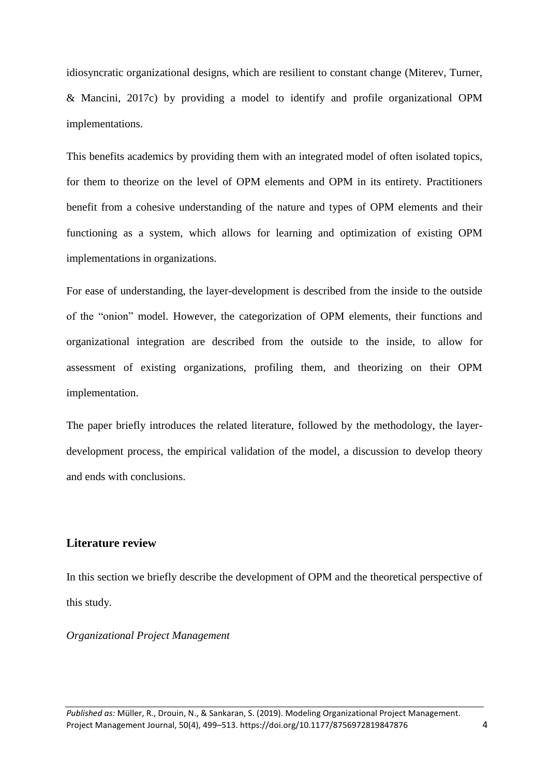idiosyncratic organizational designs, which are resilient to constant change (Miterev, Turner, & Mancini, 2017c) by providing a model to identify and profile organizational OPM implementations.

This benefits academics by providing them with an integrated model of often isolated topics, for them to theorize on the level of OPM elements and OPM in its entirety. Practitioners benefit from a cohesive understanding of the nature and types of OPM elements and their functioning as a system, which allows for learning and optimization of existing OPM implementations in organizations.

For ease of understanding, the layer-development is described from the inside to the outside of the "onion" model. However, the categorization of OPM elements, their functions and organizational integration are described from the outside to the inside, to allow for assessment of existing organizations, profiling them, and theorizing on their OPM implementation.

The paper briefly introduces the related literature, followed by the methodology, the layerdevelopment process, the empirical validation of the model, a discussion to develop theory and ends with conclusions.

# **Literature review**

In this section we briefly describe the development of OPM and the theoretical perspective of this study.

*Organizational Project Management*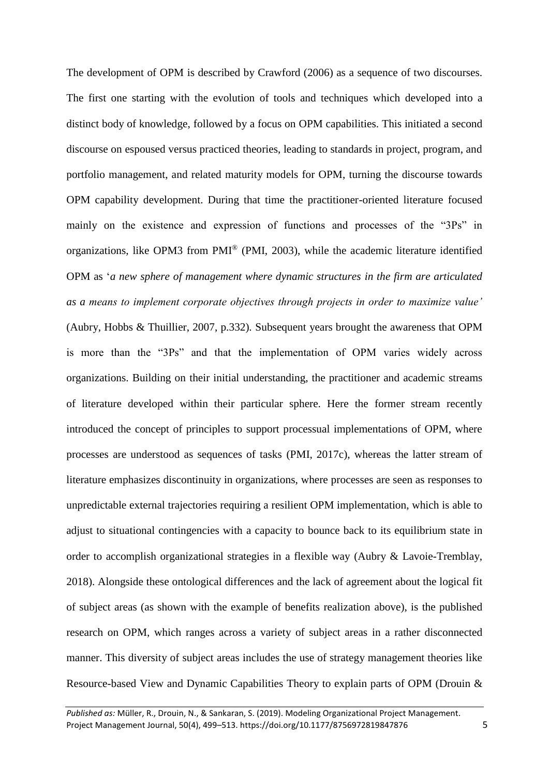The development of OPM is described by Crawford (2006) as a sequence of two discourses. The first one starting with the evolution of tools and techniques which developed into a distinct body of knowledge, followed by a focus on OPM capabilities. This initiated a second discourse on espoused versus practiced theories, leading to standards in project, program, and portfolio management, and related maturity models for OPM, turning the discourse towards OPM capability development. During that time the practitioner-oriented literature focused mainly on the existence and expression of functions and processes of the "3Ps" in organizations, like OPM3 from PMI® (PMI, 2003), while the academic literature identified OPM as '*a new sphere of management where dynamic structures in the firm are articulated as a means to implement corporate objectives through projects in order to maximize value'* (Aubry, Hobbs & Thuillier, 2007, p.332)*.* Subsequent years brought the awareness that OPM is more than the "3Ps" and that the implementation of OPM varies widely across organizations. Building on their initial understanding, the practitioner and academic streams of literature developed within their particular sphere. Here the former stream recently introduced the concept of principles to support processual implementations of OPM, where processes are understood as sequences of tasks (PMI, 2017c), whereas the latter stream of literature emphasizes discontinuity in organizations, where processes are seen as responses to unpredictable external trajectories requiring a resilient OPM implementation, which is able to adjust to situational contingencies with a capacity to bounce back to its equilibrium state in order to accomplish organizational strategies in a flexible way (Aubry & Lavoie-Tremblay, 2018). Alongside these ontological differences and the lack of agreement about the logical fit of subject areas (as shown with the example of benefits realization above), is the published research on OPM, which ranges across a variety of subject areas in a rather disconnected manner. This diversity of subject areas includes the use of strategy management theories like Resource-based View and Dynamic Capabilities Theory to explain parts of OPM (Drouin &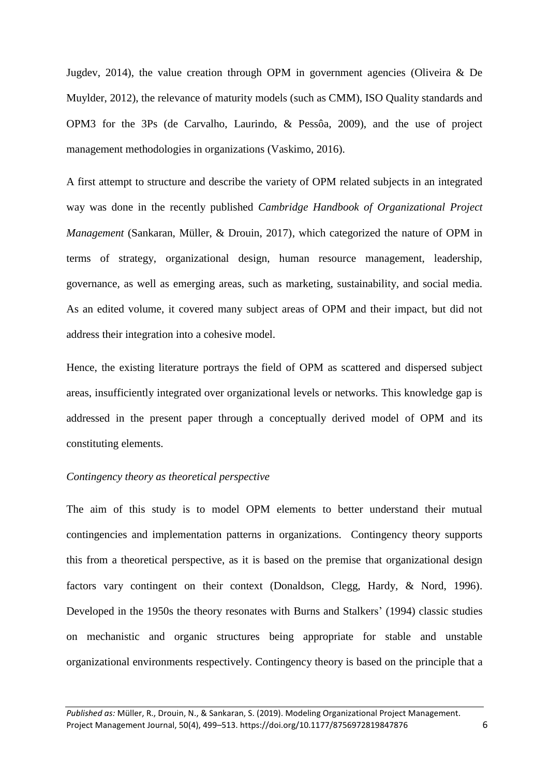Jugdev, 2014), the value creation through OPM in government agencies (Oliveira & De Muylder, 2012), the relevance of maturity models (such as CMM), ISO Quality standards and OPM3 for the 3Ps (de Carvalho, Laurindo, & Pessôa, 2009), and the use of project management methodologies in organizations (Vaskimo, 2016).

A first attempt to structure and describe the variety of OPM related subjects in an integrated way was done in the recently published *Cambridge Handbook of Organizational Project Management* (Sankaran, Müller, & Drouin, 2017), which categorized the nature of OPM in terms of strategy, organizational design, human resource management, leadership, governance, as well as emerging areas, such as marketing, sustainability, and social media. As an edited volume, it covered many subject areas of OPM and their impact, but did not address their integration into a cohesive model.

Hence, the existing literature portrays the field of OPM as scattered and dispersed subject areas, insufficiently integrated over organizational levels or networks. This knowledge gap is addressed in the present paper through a conceptually derived model of OPM and its constituting elements.

#### *Contingency theory as theoretical perspective*

The aim of this study is to model OPM elements to better understand their mutual contingencies and implementation patterns in organizations. Contingency theory supports this from a theoretical perspective, as it is based on the premise that organizational design factors vary contingent on their context (Donaldson, Clegg, Hardy, & Nord, 1996). Developed in the 1950s the theory resonates with Burns and Stalkers' (1994) classic studies on mechanistic and organic structures being appropriate for stable and unstable organizational environments respectively. Contingency theory is based on the principle that a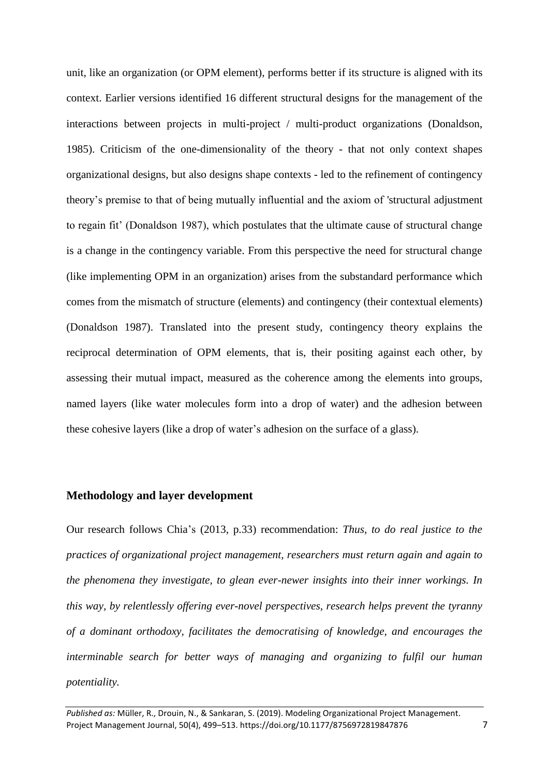unit, like an organization (or OPM element), performs better if its structure is aligned with its context. Earlier versions identified 16 different structural designs for the management of the interactions between projects in multi-project / multi-product organizations (Donaldson, 1985). Criticism of the one-dimensionality of the theory - that not only context shapes organizational designs, but also designs shape contexts - led to the refinement of contingency theory's premise to that of being mutually influential and the axiom of 'structural adjustment to regain fit' (Donaldson 1987), which postulates that the ultimate cause of structural change is a change in the contingency variable. From this perspective the need for structural change (like implementing OPM in an organization) arises from the substandard performance which comes from the mismatch of structure (elements) and contingency (their contextual elements) (Donaldson 1987). Translated into the present study, contingency theory explains the reciprocal determination of OPM elements, that is, their positing against each other, by assessing their mutual impact, measured as the coherence among the elements into groups, named layers (like water molecules form into a drop of water) and the adhesion between these cohesive layers (like a drop of water's adhesion on the surface of a glass).

## **Methodology and layer development**

Our research follows Chia's (2013, p.33) recommendation: *Thus, to do real justice to the practices of organizational project management, researchers must return again and again to the phenomena they investigate, to glean ever-newer insights into their inner workings. In this way, by relentlessly offering ever-novel perspectives, research helps prevent the tyranny of a dominant orthodoxy, facilitates the democratising of knowledge, and encourages the interminable search for better ways of managing and organizing to fulfil our human potentiality.*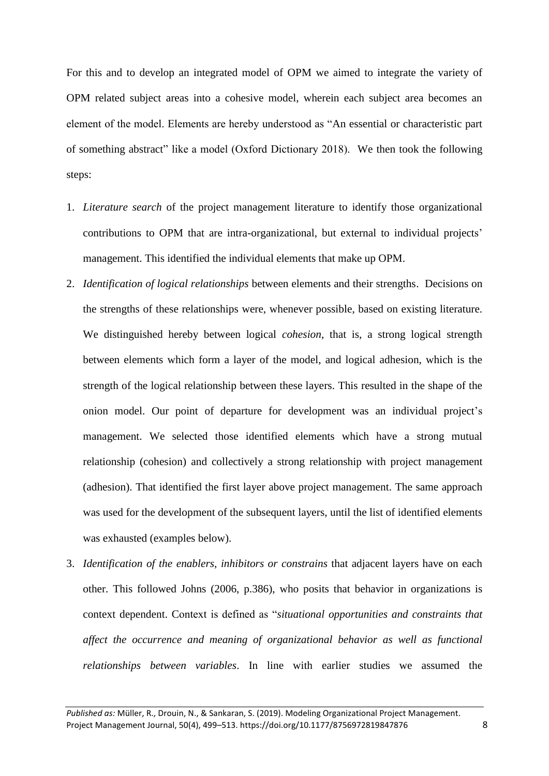For this and to develop an integrated model of OPM we aimed to integrate the variety of OPM related subject areas into a cohesive model, wherein each subject area becomes an element of the model. Elements are hereby understood as "An essential or characteristic part of something abstract" like a model (Oxford Dictionary 2018). We then took the following steps:

- 1. *Literature search* of the project management literature to identify those organizational contributions to OPM that are intra-organizational, but external to individual projects' management. This identified the individual elements that make up OPM.
- 2. *Identification of logical relationships* between elements and their strengths. Decisions on the strengths of these relationships were, whenever possible, based on existing literature. We distinguished hereby between logical *cohesion*, that is, a strong logical strength between elements which form a layer of the model, and logical adhesion, which is the strength of the logical relationship between these layers. This resulted in the shape of the onion model. Our point of departure for development was an individual project's management. We selected those identified elements which have a strong mutual relationship (cohesion) and collectively a strong relationship with project management (adhesion). That identified the first layer above project management. The same approach was used for the development of the subsequent layers, until the list of identified elements was exhausted (examples below).
- 3. *Identification of the enablers, inhibitors or constrains* that adjacent layers have on each other. This followed Johns (2006, p.386), who posits that behavior in organizations is context dependent. Context is defined as "*situational opportunities and constraints that affect the occurrence and meaning of organizational behavior as well as functional relationships between variables*. In line with earlier studies we assumed the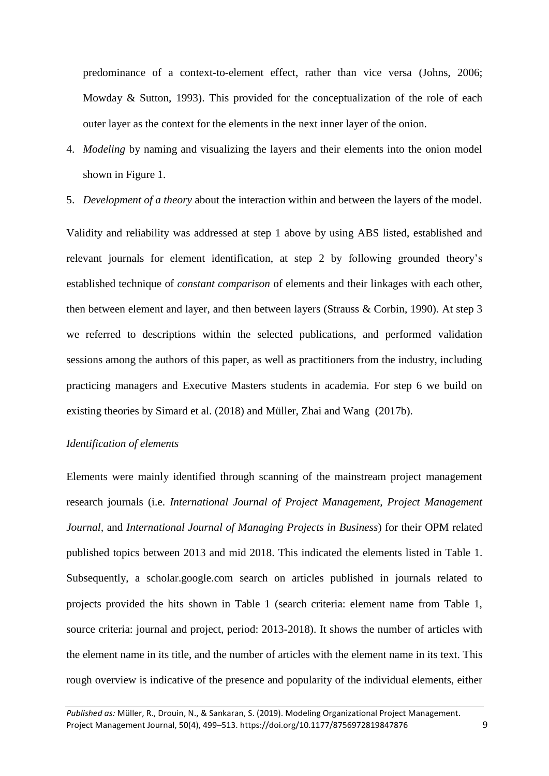predominance of a context-to-element effect, rather than vice versa (Johns, 2006; Mowday & Sutton, 1993). This provided for the conceptualization of the role of each outer layer as the context for the elements in the next inner layer of the onion.

- 4. *Modeling* by naming and visualizing the layers and their elements into the onion model shown in Figure 1.
- 5. *Development of a theory* about the interaction within and between the layers of the model.

Validity and reliability was addressed at step 1 above by using ABS listed, established and relevant journals for element identification, at step 2 by following grounded theory's established technique of *constant comparison* of elements and their linkages with each other, then between element and layer, and then between layers (Strauss & Corbin, 1990). At step 3 we referred to descriptions within the selected publications, and performed validation sessions among the authors of this paper, as well as practitioners from the industry, including practicing managers and Executive Masters students in academia. For step 6 we build on existing theories by Simard et al. (2018) and Müller, Zhai and Wang (2017b).

### *Identification of elements*

Elements were mainly identified through scanning of the mainstream project management research journals (i.e. *International Journal of Project Management, Project Management Journal,* and *International Journal of Managing Projects in Business*) for their OPM related published topics between 2013 and mid 2018. This indicated the elements listed in Table 1. Subsequently, a scholar.google.com search on articles published in journals related to projects provided the hits shown in Table 1 (search criteria: element name from Table 1, source criteria: journal and project, period: 2013-2018). It shows the number of articles with the element name in its title, and the number of articles with the element name in its text. This rough overview is indicative of the presence and popularity of the individual elements, either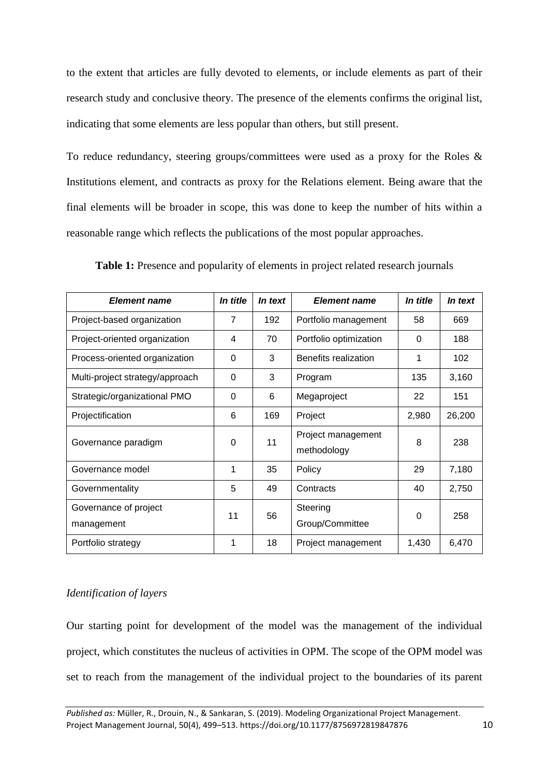to the extent that articles are fully devoted to elements, or include elements as part of their research study and conclusive theory. The presence of the elements confirms the original list, indicating that some elements are less popular than others, but still present.

To reduce redundancy, steering groups/committees were used as a proxy for the Roles & Institutions element, and contracts as proxy for the Relations element. Being aware that the final elements will be broader in scope, this was done to keep the number of hits within a reasonable range which reflects the publications of the most popular approaches.

| <b>Element name</b>                 | In title | In text | <b>Element name</b>               | <i>In title</i> | In text |
|-------------------------------------|----------|---------|-----------------------------------|-----------------|---------|
| Project-based organization          | 7        | 192     | Portfolio management              | 58              | 669     |
| Project-oriented organization       | 4        | 70      | Portfolio optimization            | 0               | 188     |
| Process-oriented organization       | 0        | 3       | Benefits realization              | 1               | 102     |
| Multi-project strategy/approach     | $\Omega$ | 3       | Program                           | 135             | 3,160   |
| Strategic/organizational PMO        | $\Omega$ | 6       | Megaproject                       | 22              | 151     |
| Projectification                    | 6        | 169     | Project                           | 2,980           | 26,200  |
| Governance paradigm                 | 0        | 11      | Project management<br>methodology | 8               | 238     |
| Governance model                    | 1        | 35      | Policy                            | 29              | 7,180   |
| Governmentality                     | 5        | 49      | Contracts                         | 40              | 2,750   |
| Governance of project<br>management | 11       | 56      | Steering<br>Group/Committee       | $\Omega$        | 258     |
| Portfolio strategy                  | 1        | 18      | Project management                | 1,430           | 6,470   |

**Table 1:** Presence and popularity of elements in project related research journals

# *Identification of layers*

Our starting point for development of the model was the management of the individual project, which constitutes the nucleus of activities in OPM. The scope of the OPM model was set to reach from the management of the individual project to the boundaries of its parent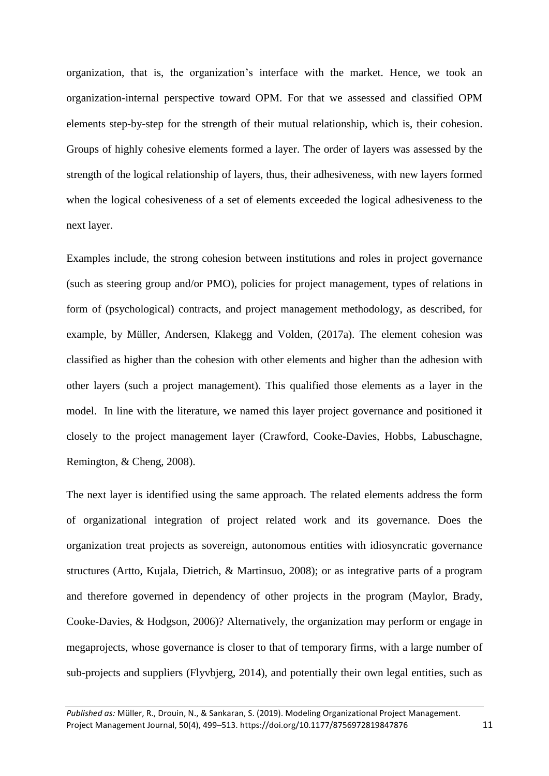organization, that is, the organization's interface with the market. Hence, we took an organization-internal perspective toward OPM. For that we assessed and classified OPM elements step-by-step for the strength of their mutual relationship, which is, their cohesion. Groups of highly cohesive elements formed a layer. The order of layers was assessed by the strength of the logical relationship of layers, thus, their adhesiveness, with new layers formed when the logical cohesiveness of a set of elements exceeded the logical adhesiveness to the next layer.

Examples include, the strong cohesion between institutions and roles in project governance (such as steering group and/or PMO), policies for project management, types of relations in form of (psychological) contracts, and project management methodology, as described, for example, by Müller, Andersen, Klakegg and Volden, (2017a). The element cohesion was classified as higher than the cohesion with other elements and higher than the adhesion with other layers (such a project management). This qualified those elements as a layer in the model. In line with the literature, we named this layer project governance and positioned it closely to the project management layer (Crawford, Cooke-Davies, Hobbs, Labuschagne, Remington, & Cheng, 2008).

The next layer is identified using the same approach. The related elements address the form of organizational integration of project related work and its governance. Does the organization treat projects as sovereign, autonomous entities with idiosyncratic governance structures (Artto, Kujala, Dietrich, & Martinsuo, 2008); or as integrative parts of a program and therefore governed in dependency of other projects in the program (Maylor, Brady, Cooke-Davies, & Hodgson, 2006)? Alternatively, the organization may perform or engage in megaprojects, whose governance is closer to that of temporary firms, with a large number of sub-projects and suppliers (Flyvbjerg, 2014), and potentially their own legal entities, such as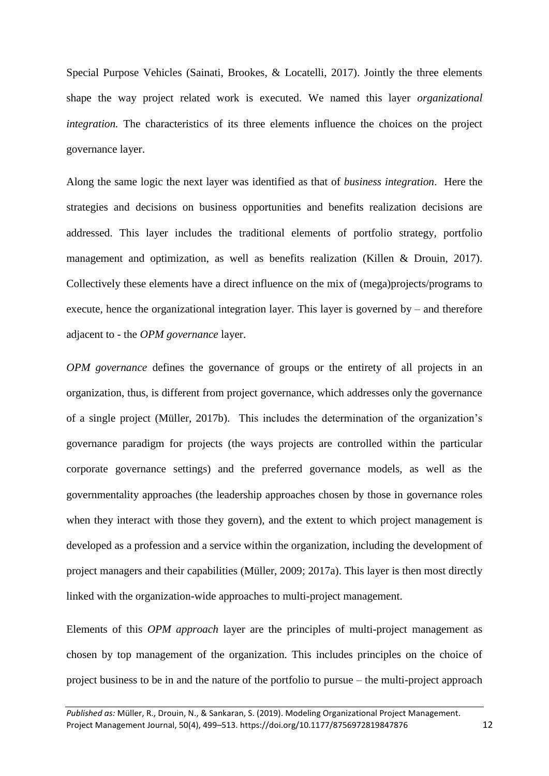Special Purpose Vehicles (Sainati, Brookes, & Locatelli, 2017). Jointly the three elements shape the way project related work is executed. We named this layer *organizational integration*. The characteristics of its three elements influence the choices on the project governance layer.

Along the same logic the next layer was identified as that of *business integration*. Here the strategies and decisions on business opportunities and benefits realization decisions are addressed. This layer includes the traditional elements of portfolio strategy, portfolio management and optimization, as well as benefits realization (Killen & Drouin, 2017). Collectively these elements have a direct influence on the mix of (mega)projects/programs to execute, hence the organizational integration layer. This layer is governed by – and therefore adjacent to - the *OPM governance* layer.

*OPM governance* defines the governance of groups or the entirety of all projects in an organization, thus, is different from project governance, which addresses only the governance of a single project (Müller, 2017b). This includes the determination of the organization's governance paradigm for projects (the ways projects are controlled within the particular corporate governance settings) and the preferred governance models, as well as the governmentality approaches (the leadership approaches chosen by those in governance roles when they interact with those they govern), and the extent to which project management is developed as a profession and a service within the organization, including the development of project managers and their capabilities (Müller, 2009; 2017a). This layer is then most directly linked with the organization-wide approaches to multi-project management.

Elements of this *OPM approach* layer are the principles of multi-project management as chosen by top management of the organization. This includes principles on the choice of project business to be in and the nature of the portfolio to pursue – the multi-project approach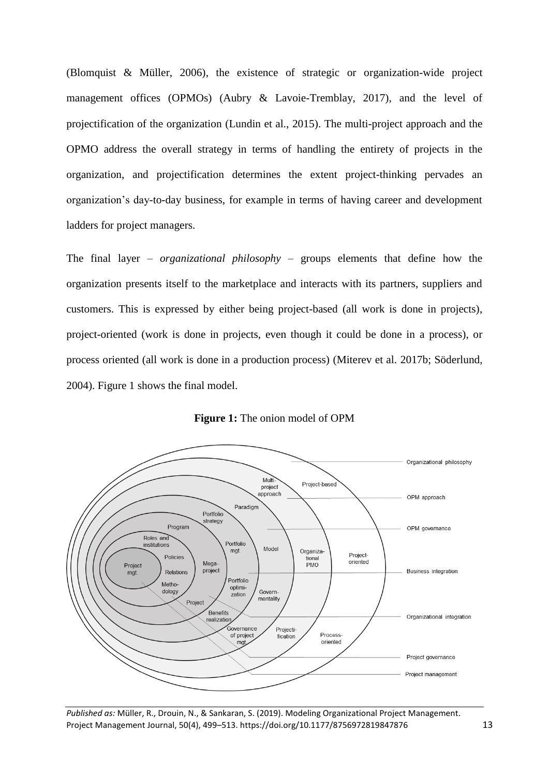(Blomquist & Müller, 2006), the existence of strategic or organization-wide project management offices (OPMOs) (Aubry & Lavoie-Tremblay, 2017), and the level of projectification of the organization (Lundin et al., 2015). The multi-project approach and the OPMO address the overall strategy in terms of handling the entirety of projects in the organization, and projectification determines the extent project-thinking pervades an organization's day-to-day business, for example in terms of having career and development ladders for project managers.

The final layer – *organizational philosophy* – groups elements that define how the organization presents itself to the marketplace and interacts with its partners, suppliers and customers. This is expressed by either being project-based (all work is done in projects), project-oriented (work is done in projects, even though it could be done in a process), or process oriented (all work is done in a production process) (Miterev et al. 2017b; Söderlund, 2004). Figure 1 shows the final model.



**Figure 1:** The onion model of OPM

*Published as:* Müller, R., Drouin, N., & Sankaran, S. (2019). Modeling Organizational Project Management. Project Management Journal, 50(4), 499–513. https://doi.org/10.1177/8756972819847876 13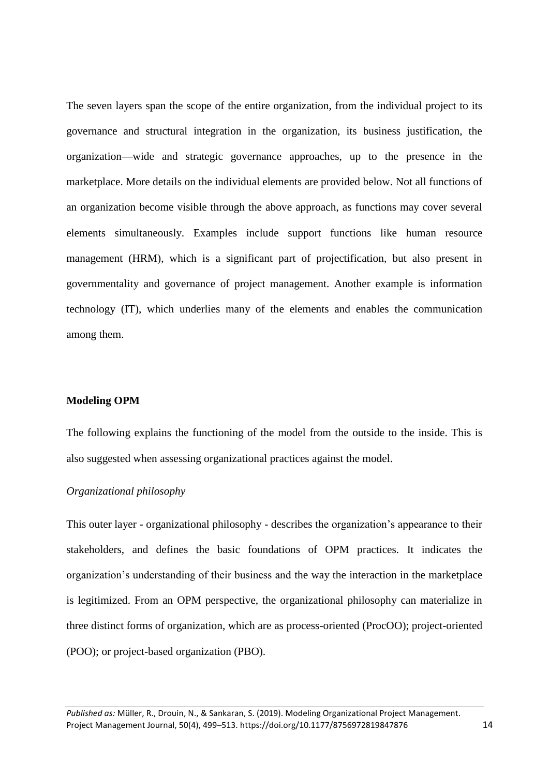The seven layers span the scope of the entire organization, from the individual project to its governance and structural integration in the organization, its business justification, the organization—wide and strategic governance approaches, up to the presence in the marketplace. More details on the individual elements are provided below. Not all functions of an organization become visible through the above approach, as functions may cover several elements simultaneously. Examples include support functions like human resource management (HRM), which is a significant part of projectification, but also present in governmentality and governance of project management. Another example is information technology (IT), which underlies many of the elements and enables the communication among them.

#### **Modeling OPM**

The following explains the functioning of the model from the outside to the inside. This is also suggested when assessing organizational practices against the model.

## *Organizational philosophy*

This outer layer - organizational philosophy - describes the organization's appearance to their stakeholders, and defines the basic foundations of OPM practices. It indicates the organization's understanding of their business and the way the interaction in the marketplace is legitimized. From an OPM perspective, the organizational philosophy can materialize in three distinct forms of organization, which are as process-oriented (ProcOO); project-oriented (POO); or project-based organization (PBO).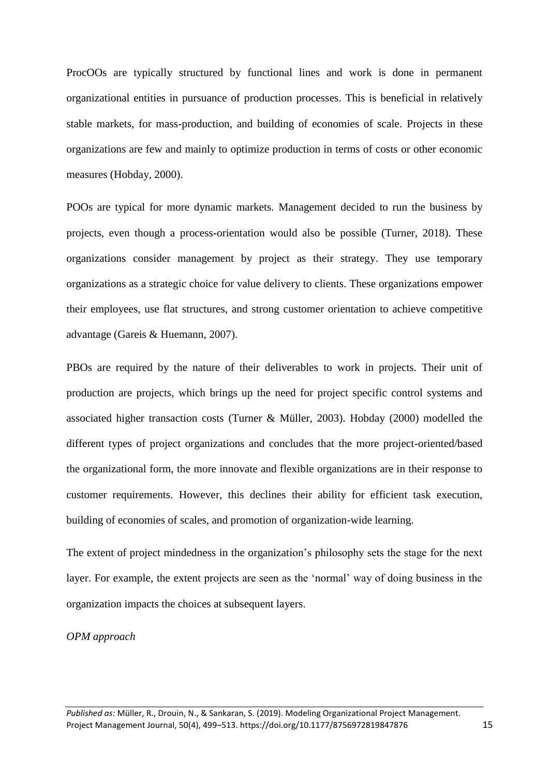ProcOOs are typically structured by functional lines and work is done in permanent organizational entities in pursuance of production processes. This is beneficial in relatively stable markets, for mass-production, and building of economies of scale. Projects in these organizations are few and mainly to optimize production in terms of costs or other economic measures (Hobday, 2000).

POOs are typical for more dynamic markets. Management decided to run the business by projects, even though a process-orientation would also be possible (Turner, 2018). These organizations consider management by project as their strategy. They use temporary organizations as a strategic choice for value delivery to clients. These organizations empower their employees, use flat structures, and strong customer orientation to achieve competitive advantage (Gareis & Huemann, 2007).

PBOs are required by the nature of their deliverables to work in projects. Their unit of production are projects, which brings up the need for project specific control systems and associated higher transaction costs (Turner & Müller, 2003). Hobday (2000) modelled the different types of project organizations and concludes that the more project-oriented/based the organizational form, the more innovate and flexible organizations are in their response to customer requirements. However, this declines their ability for efficient task execution, building of economies of scales, and promotion of organization-wide learning.

The extent of project mindedness in the organization's philosophy sets the stage for the next layer. For example, the extent projects are seen as the 'normal' way of doing business in the organization impacts the choices at subsequent layers.

### *OPM approach*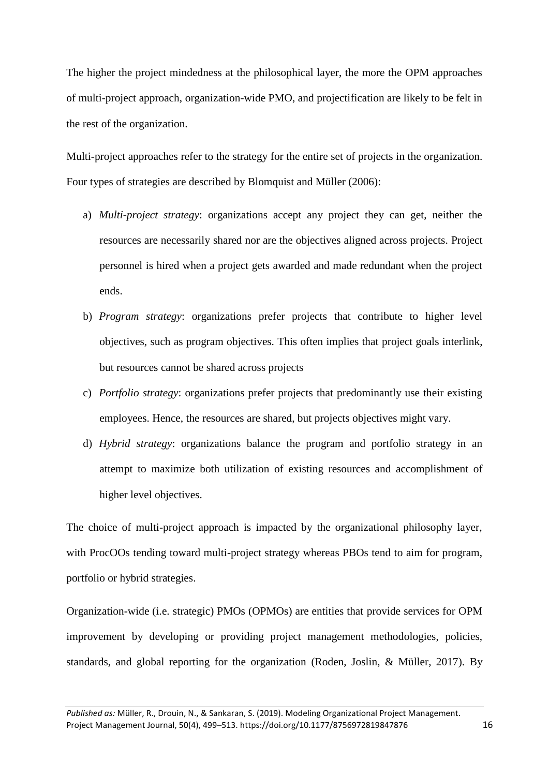The higher the project mindedness at the philosophical layer, the more the OPM approaches of multi-project approach, organization-wide PMO, and projectification are likely to be felt in the rest of the organization.

Multi-project approaches refer to the strategy for the entire set of projects in the organization. Four types of strategies are described by Blomquist and Müller (2006):

- a) *Multi-project strategy*: organizations accept any project they can get, neither the resources are necessarily shared nor are the objectives aligned across projects. Project personnel is hired when a project gets awarded and made redundant when the project ends.
- b) *Program strategy*: organizations prefer projects that contribute to higher level objectives, such as program objectives. This often implies that project goals interlink, but resources cannot be shared across projects
- c) *Portfolio strategy*: organizations prefer projects that predominantly use their existing employees. Hence, the resources are shared, but projects objectives might vary.
- d) *Hybrid strategy*: organizations balance the program and portfolio strategy in an attempt to maximize both utilization of existing resources and accomplishment of higher level objectives.

The choice of multi-project approach is impacted by the organizational philosophy layer, with ProcOOs tending toward multi-project strategy whereas PBOs tend to aim for program, portfolio or hybrid strategies.

Organization-wide (i.e. strategic) PMOs (OPMOs) are entities that provide services for OPM improvement by developing or providing project management methodologies, policies, standards, and global reporting for the organization (Roden, Joslin, & Müller, 2017). By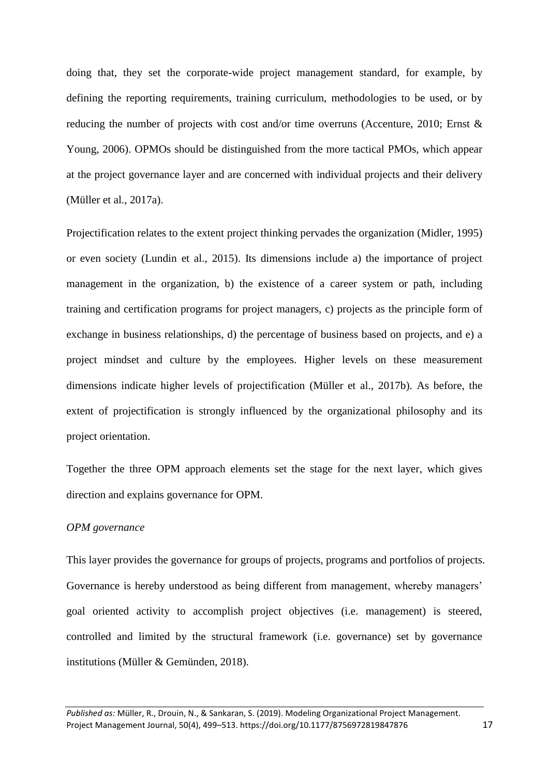doing that, they set the corporate-wide project management standard, for example, by defining the reporting requirements, training curriculum, methodologies to be used, or by reducing the number of projects with cost and/or time overruns (Accenture, 2010; Ernst & Young, 2006). OPMOs should be distinguished from the more tactical PMOs, which appear at the project governance layer and are concerned with individual projects and their delivery (Müller et al., 2017a).

Projectification relates to the extent project thinking pervades the organization (Midler, 1995) or even society (Lundin et al., 2015). Its dimensions include a) the importance of project management in the organization, b) the existence of a career system or path, including training and certification programs for project managers, c) projects as the principle form of exchange in business relationships, d) the percentage of business based on projects, and e) a project mindset and culture by the employees. Higher levels on these measurement dimensions indicate higher levels of projectification (Müller et al., 2017b). As before, the extent of projectification is strongly influenced by the organizational philosophy and its project orientation.

Together the three OPM approach elements set the stage for the next layer, which gives direction and explains governance for OPM.

## *OPM governance*

This layer provides the governance for groups of projects, programs and portfolios of projects. Governance is hereby understood as being different from management, whereby managers' goal oriented activity to accomplish project objectives (i.e. management) is steered, controlled and limited by the structural framework (i.e. governance) set by governance institutions (Müller & Gemünden, 2018).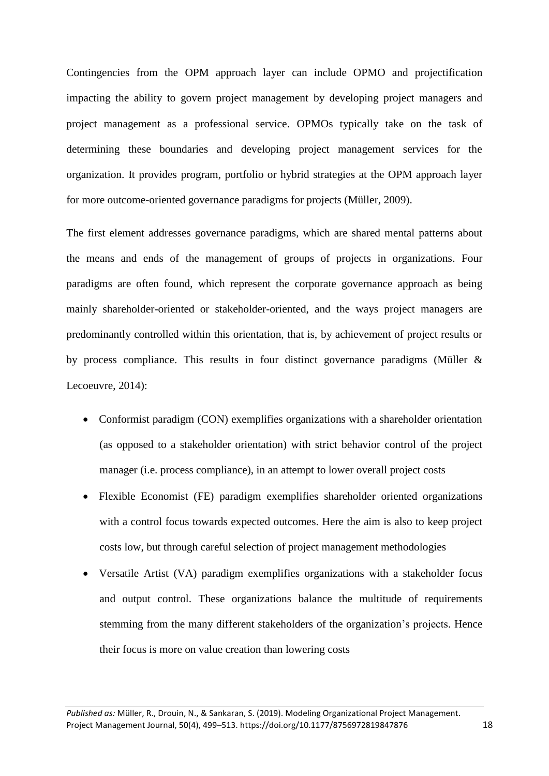Contingencies from the OPM approach layer can include OPMO and projectification impacting the ability to govern project management by developing project managers and project management as a professional service. OPMOs typically take on the task of determining these boundaries and developing project management services for the organization. It provides program, portfolio or hybrid strategies at the OPM approach layer for more outcome-oriented governance paradigms for projects (Müller, 2009).

The first element addresses governance paradigms, which are shared mental patterns about the means and ends of the management of groups of projects in organizations. Four paradigms are often found, which represent the corporate governance approach as being mainly shareholder-oriented or stakeholder-oriented, and the ways project managers are predominantly controlled within this orientation, that is, by achievement of project results or by process compliance. This results in four distinct governance paradigms (Müller & Lecoeuvre, 2014):

- Conformist paradigm (CON) exemplifies organizations with a shareholder orientation (as opposed to a stakeholder orientation) with strict behavior control of the project manager (i.e. process compliance), in an attempt to lower overall project costs
- Flexible Economist (FE) paradigm exemplifies shareholder oriented organizations with a control focus towards expected outcomes. Here the aim is also to keep project costs low, but through careful selection of project management methodologies
- Versatile Artist (VA) paradigm exemplifies organizations with a stakeholder focus and output control. These organizations balance the multitude of requirements stemming from the many different stakeholders of the organization's projects. Hence their focus is more on value creation than lowering costs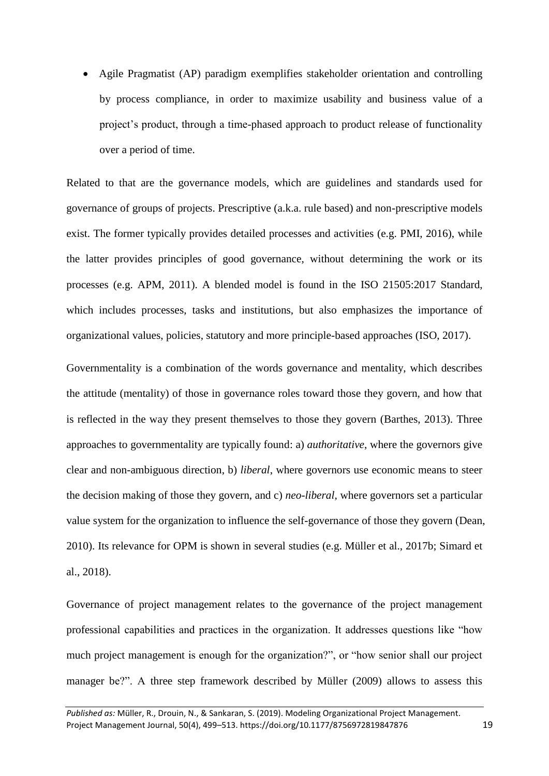Agile Pragmatist (AP) paradigm exemplifies stakeholder orientation and controlling by process compliance, in order to maximize usability and business value of a project's product, through a time-phased approach to product release of functionality over a period of time.

Related to that are the governance models, which are guidelines and standards used for governance of groups of projects. Prescriptive (a.k.a. rule based) and non-prescriptive models exist. The former typically provides detailed processes and activities (e.g. PMI, 2016), while the latter provides principles of good governance, without determining the work or its processes (e.g. APM, 2011). A blended model is found in the ISO 21505:2017 Standard, which includes processes, tasks and institutions, but also emphasizes the importance of organizational values, policies, statutory and more principle-based approaches (ISO, 2017).

Governmentality is a combination of the words governance and mentality, which describes the attitude (mentality) of those in governance roles toward those they govern, and how that is reflected in the way they present themselves to those they govern (Barthes, 2013). Three approaches to governmentality are typically found: a) *authoritative*, where the governors give clear and non-ambiguous direction, b) *liberal*, where governors use economic means to steer the decision making of those they govern, and c) *neo-liberal*, where governors set a particular value system for the organization to influence the self-governance of those they govern (Dean, 2010). Its relevance for OPM is shown in several studies (e.g. Müller et al., 2017b; Simard et al., 2018).

Governance of project management relates to the governance of the project management professional capabilities and practices in the organization. It addresses questions like "how much project management is enough for the organization?", or "how senior shall our project manager be?". A three step framework described by Müller (2009) allows to assess this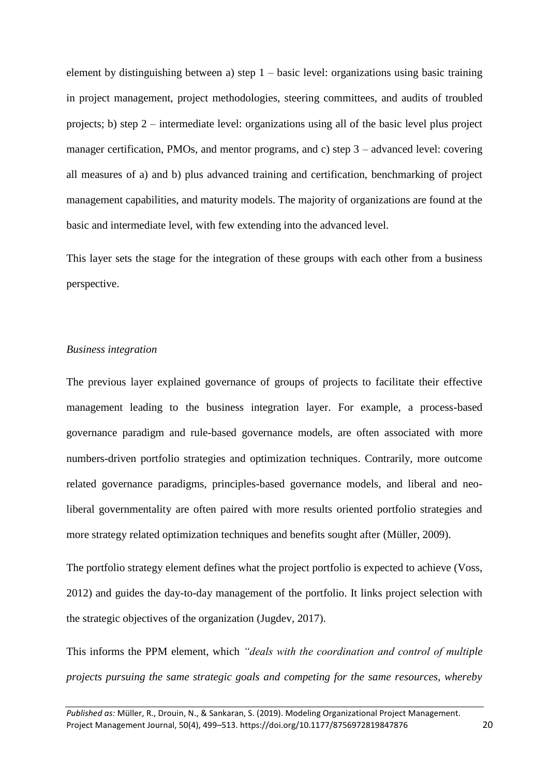element by distinguishing between a) step  $1 -$  basic level: organizations using basic training in project management, project methodologies, steering committees, and audits of troubled projects; b) step 2 – intermediate level: organizations using all of the basic level plus project manager certification, PMOs, and mentor programs, and c) step 3 – advanced level: covering all measures of a) and b) plus advanced training and certification, benchmarking of project management capabilities, and maturity models. The majority of organizations are found at the basic and intermediate level, with few extending into the advanced level.

This layer sets the stage for the integration of these groups with each other from a business perspective.

## *Business integration*

The previous layer explained governance of groups of projects to facilitate their effective management leading to the business integration layer. For example, a process-based governance paradigm and rule-based governance models, are often associated with more numbers-driven portfolio strategies and optimization techniques. Contrarily, more outcome related governance paradigms, principles-based governance models, and liberal and neoliberal governmentality are often paired with more results oriented portfolio strategies and more strategy related optimization techniques and benefits sought after (Müller, 2009).

The portfolio strategy element defines what the project portfolio is expected to achieve (Voss, 2012) and guides the day-to-day management of the portfolio. It links project selection with the strategic objectives of the organization (Jugdev, 2017).

This informs the PPM element, which *"deals with the coordination and control of multiple projects pursuing the same strategic goals and competing for the same resources, whereby*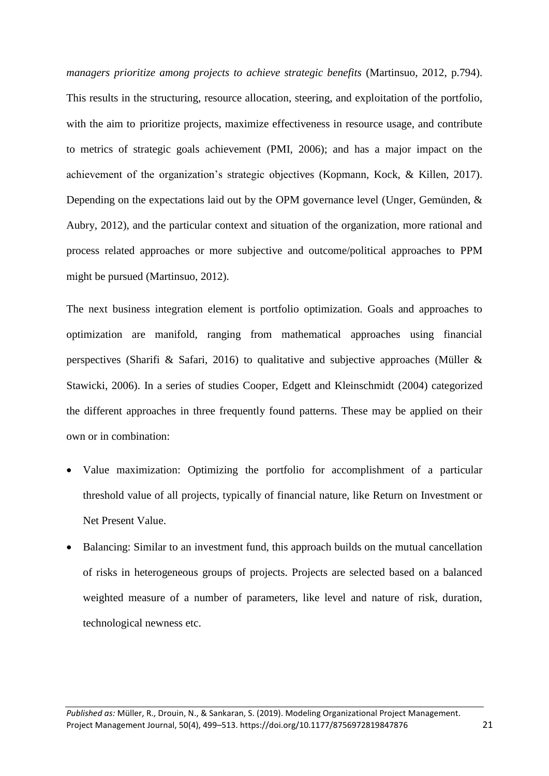*managers prioritize among projects to achieve strategic benefits* (Martinsuo, 2012, p.794). This results in the structuring, resource allocation, steering, and exploitation of the portfolio, with the aim to prioritize projects, maximize effectiveness in resource usage, and contribute to metrics of strategic goals achievement (PMI, 2006); and has a major impact on the achievement of the organization's strategic objectives (Kopmann, Kock, & Killen, 2017). Depending on the expectations laid out by the OPM governance level (Unger, Gemünden, & Aubry, 2012), and the particular context and situation of the organization, more rational and process related approaches or more subjective and outcome/political approaches to PPM might be pursued (Martinsuo, 2012).

The next business integration element is portfolio optimization. Goals and approaches to optimization are manifold, ranging from mathematical approaches using financial perspectives (Sharifi & Safari, 2016) to qualitative and subjective approaches (Müller & Stawicki, 2006). In a series of studies Cooper, Edgett and Kleinschmidt (2004) categorized the different approaches in three frequently found patterns. These may be applied on their own or in combination:

- Value maximization: Optimizing the portfolio for accomplishment of a particular threshold value of all projects, typically of financial nature, like Return on Investment or Net Present Value.
- Balancing: Similar to an investment fund, this approach builds on the mutual cancellation of risks in heterogeneous groups of projects. Projects are selected based on a balanced weighted measure of a number of parameters, like level and nature of risk, duration, technological newness etc.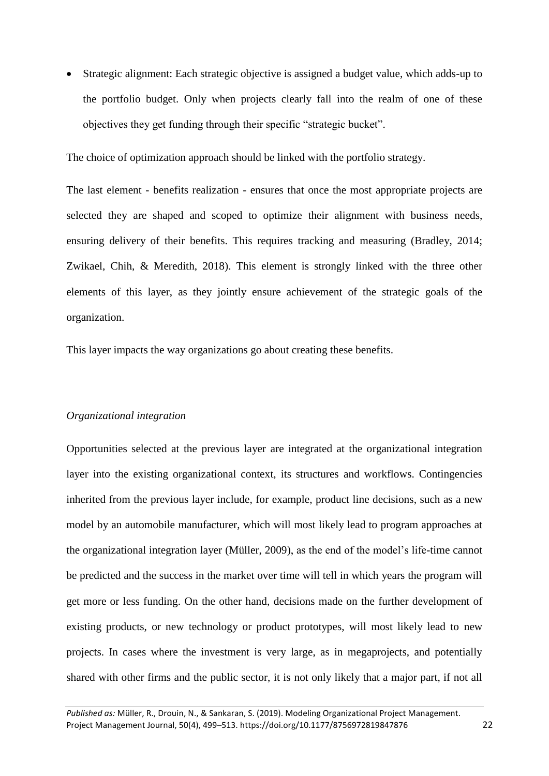Strategic alignment: Each strategic objective is assigned a budget value, which adds-up to the portfolio budget. Only when projects clearly fall into the realm of one of these objectives they get funding through their specific "strategic bucket".

The choice of optimization approach should be linked with the portfolio strategy.

The last element - benefits realization - ensures that once the most appropriate projects are selected they are shaped and scoped to optimize their alignment with business needs, ensuring delivery of their benefits. This requires tracking and measuring (Bradley, 2014; Zwikael, Chih, & Meredith, 2018). This element is strongly linked with the three other elements of this layer, as they jointly ensure achievement of the strategic goals of the organization.

This layer impacts the way organizations go about creating these benefits.

#### *Organizational integration*

Opportunities selected at the previous layer are integrated at the organizational integration layer into the existing organizational context, its structures and workflows. Contingencies inherited from the previous layer include, for example, product line decisions, such as a new model by an automobile manufacturer, which will most likely lead to program approaches at the organizational integration layer (Müller, 2009), as the end of the model's life-time cannot be predicted and the success in the market over time will tell in which years the program will get more or less funding. On the other hand, decisions made on the further development of existing products, or new technology or product prototypes, will most likely lead to new projects. In cases where the investment is very large, as in megaprojects, and potentially shared with other firms and the public sector, it is not only likely that a major part, if not all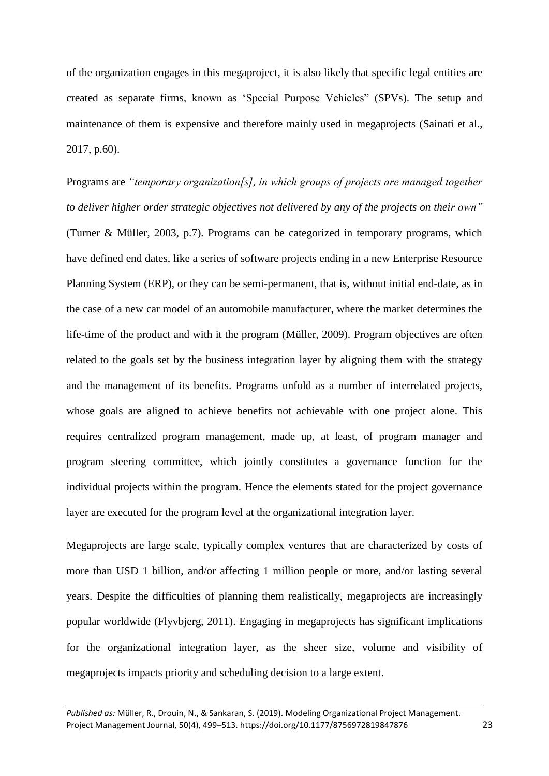of the organization engages in this megaproject, it is also likely that specific legal entities are created as separate firms, known as 'Special Purpose Vehicles" (SPVs). The setup and maintenance of them is expensive and therefore mainly used in megaprojects (Sainati et al., 2017, p.60).

Programs are *"temporary organization[s], in which groups of projects are managed together to deliver higher order strategic objectives not delivered by any of the projects on their own"* (Turner & Müller, 2003, p.7). Programs can be categorized in temporary programs, which have defined end dates, like a series of software projects ending in a new Enterprise Resource Planning System (ERP), or they can be semi-permanent, that is, without initial end-date, as in the case of a new car model of an automobile manufacturer, where the market determines the life-time of the product and with it the program (Müller, 2009). Program objectives are often related to the goals set by the business integration layer by aligning them with the strategy and the management of its benefits. Programs unfold as a number of interrelated projects, whose goals are aligned to achieve benefits not achievable with one project alone. This requires centralized program management, made up, at least, of program manager and program steering committee, which jointly constitutes a governance function for the individual projects within the program. Hence the elements stated for the project governance layer are executed for the program level at the organizational integration layer.

Megaprojects are large scale, typically complex ventures that are characterized by costs of more than USD 1 billion, and/or affecting 1 million people or more, and/or lasting several years. Despite the difficulties of planning them realistically, megaprojects are increasingly popular worldwide (Flyvbjerg, 2011). Engaging in megaprojects has significant implications for the organizational integration layer, as the sheer size, volume and visibility of megaprojects impacts priority and scheduling decision to a large extent.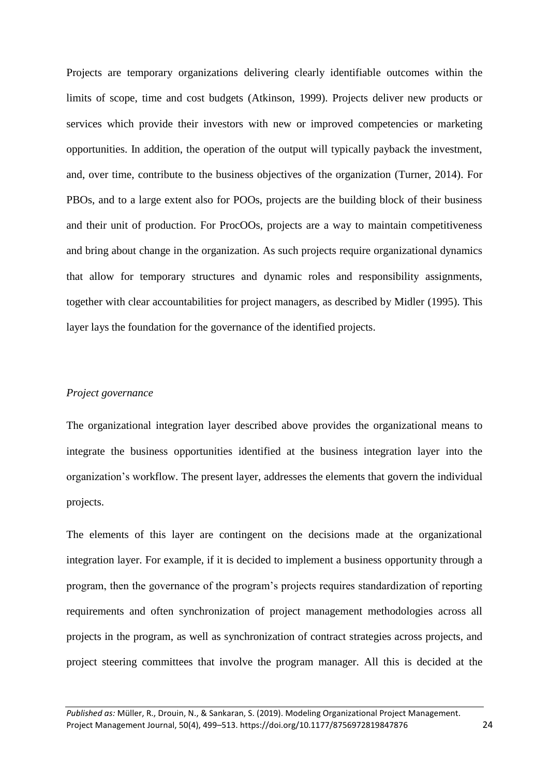Projects are temporary organizations delivering clearly identifiable outcomes within the limits of scope, time and cost budgets (Atkinson, 1999). Projects deliver new products or services which provide their investors with new or improved competencies or marketing opportunities. In addition, the operation of the output will typically payback the investment, and, over time, contribute to the business objectives of the organization (Turner, 2014). For PBOs, and to a large extent also for POOs, projects are the building block of their business and their unit of production. For ProcOOs, projects are a way to maintain competitiveness and bring about change in the organization. As such projects require organizational dynamics that allow for temporary structures and dynamic roles and responsibility assignments, together with clear accountabilities for project managers, as described by Midler (1995). This layer lays the foundation for the governance of the identified projects.

## *Project governance*

The organizational integration layer described above provides the organizational means to integrate the business opportunities identified at the business integration layer into the organization's workflow. The present layer, addresses the elements that govern the individual projects.

The elements of this layer are contingent on the decisions made at the organizational integration layer. For example, if it is decided to implement a business opportunity through a program, then the governance of the program's projects requires standardization of reporting requirements and often synchronization of project management methodologies across all projects in the program, as well as synchronization of contract strategies across projects, and project steering committees that involve the program manager. All this is decided at the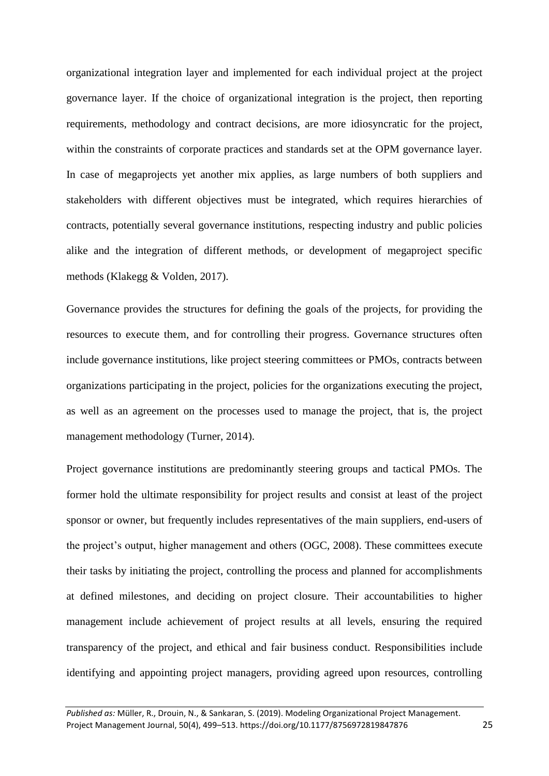organizational integration layer and implemented for each individual project at the project governance layer. If the choice of organizational integration is the project, then reporting requirements, methodology and contract decisions, are more idiosyncratic for the project, within the constraints of corporate practices and standards set at the OPM governance layer. In case of megaprojects yet another mix applies, as large numbers of both suppliers and stakeholders with different objectives must be integrated, which requires hierarchies of contracts, potentially several governance institutions, respecting industry and public policies alike and the integration of different methods, or development of megaproject specific methods (Klakegg & Volden, 2017).

Governance provides the structures for defining the goals of the projects, for providing the resources to execute them, and for controlling their progress. Governance structures often include governance institutions, like project steering committees or PMOs, contracts between organizations participating in the project, policies for the organizations executing the project, as well as an agreement on the processes used to manage the project, that is, the project management methodology (Turner, 2014).

Project governance institutions are predominantly steering groups and tactical PMOs. The former hold the ultimate responsibility for project results and consist at least of the project sponsor or owner, but frequently includes representatives of the main suppliers, end-users of the project's output, higher management and others (OGC, 2008). These committees execute their tasks by initiating the project, controlling the process and planned for accomplishments at defined milestones, and deciding on project closure. Their accountabilities to higher management include achievement of project results at all levels, ensuring the required transparency of the project, and ethical and fair business conduct. Responsibilities include identifying and appointing project managers, providing agreed upon resources, controlling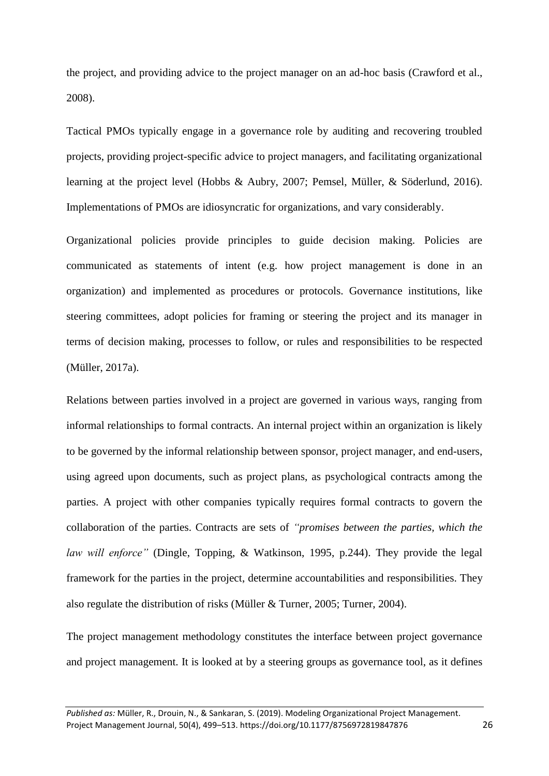the project, and providing advice to the project manager on an ad-hoc basis (Crawford et al., 2008).

Tactical PMOs typically engage in a governance role by auditing and recovering troubled projects, providing project-specific advice to project managers, and facilitating organizational learning at the project level (Hobbs & Aubry, 2007; Pemsel, Müller, & Söderlund, 2016). Implementations of PMOs are idiosyncratic for organizations, and vary considerably.

Organizational policies provide principles to guide decision making. Policies are communicated as statements of intent (e.g. how project management is done in an organization) and implemented as procedures or protocols. Governance institutions, like steering committees, adopt policies for framing or steering the project and its manager in terms of decision making, processes to follow, or rules and responsibilities to be respected (Müller, 2017a).

Relations between parties involved in a project are governed in various ways, ranging from informal relationships to formal contracts. An internal project within an organization is likely to be governed by the informal relationship between sponsor, project manager, and end-users, using agreed upon documents, such as project plans, as psychological contracts among the parties. A project with other companies typically requires formal contracts to govern the collaboration of the parties. Contracts are sets of *"promises between the parties, which the law will enforce"* (Dingle, Topping, & Watkinson, 1995, p.244). They provide the legal framework for the parties in the project, determine accountabilities and responsibilities. They also regulate the distribution of risks (Müller & Turner, 2005; Turner, 2004).

The project management methodology constitutes the interface between project governance and project management. It is looked at by a steering groups as governance tool, as it defines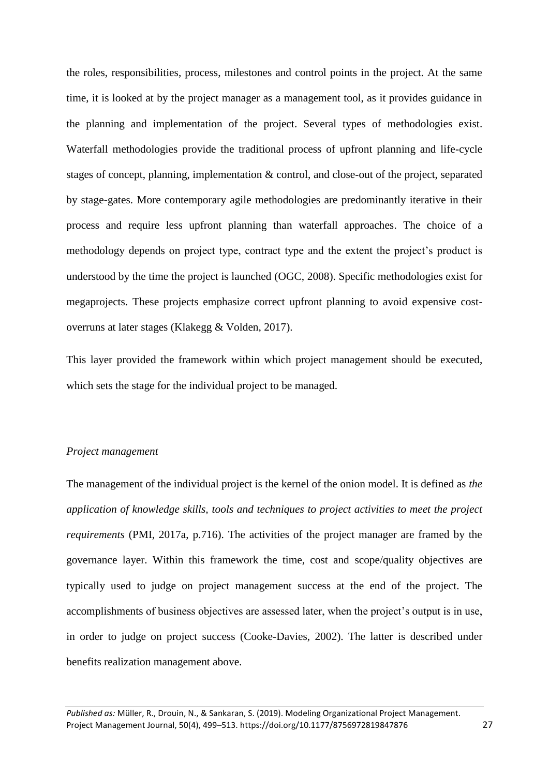the roles, responsibilities, process, milestones and control points in the project. At the same time, it is looked at by the project manager as a management tool, as it provides guidance in the planning and implementation of the project. Several types of methodologies exist. Waterfall methodologies provide the traditional process of upfront planning and life-cycle stages of concept, planning, implementation & control, and close-out of the project, separated by stage-gates. More contemporary agile methodologies are predominantly iterative in their process and require less upfront planning than waterfall approaches. The choice of a methodology depends on project type, contract type and the extent the project's product is understood by the time the project is launched (OGC, 2008). Specific methodologies exist for megaprojects. These projects emphasize correct upfront planning to avoid expensive costoverruns at later stages (Klakegg & Volden, 2017).

This layer provided the framework within which project management should be executed, which sets the stage for the individual project to be managed.

#### *Project management*

The management of the individual project is the kernel of the onion model. It is defined as *the application of knowledge skills, tools and techniques to project activities to meet the project requirements* (PMI, 2017a, p.716). The activities of the project manager are framed by the governance layer. Within this framework the time, cost and scope/quality objectives are typically used to judge on project management success at the end of the project. The accomplishments of business objectives are assessed later, when the project's output is in use, in order to judge on project success (Cooke-Davies, 2002). The latter is described under benefits realization management above.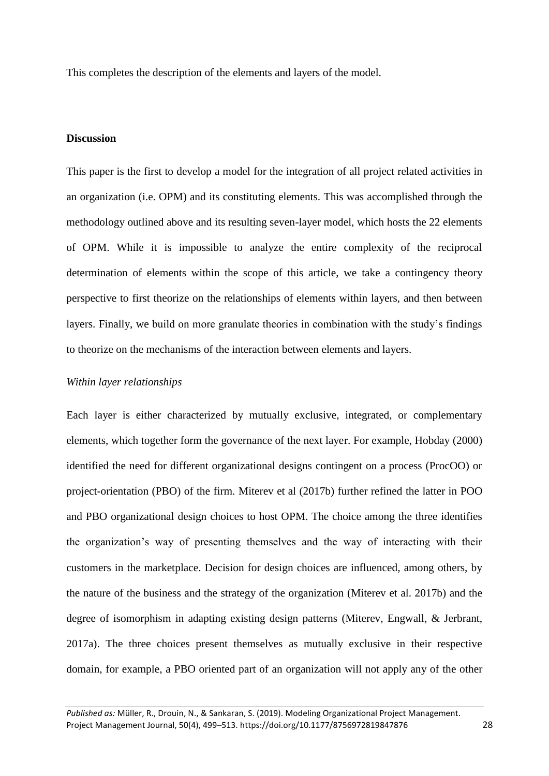This completes the description of the elements and layers of the model.

# **Discussion**

This paper is the first to develop a model for the integration of all project related activities in an organization (i.e. OPM) and its constituting elements. This was accomplished through the methodology outlined above and its resulting seven-layer model, which hosts the 22 elements of OPM. While it is impossible to analyze the entire complexity of the reciprocal determination of elements within the scope of this article, we take a contingency theory perspective to first theorize on the relationships of elements within layers, and then between layers. Finally, we build on more granulate theories in combination with the study's findings to theorize on the mechanisms of the interaction between elements and layers.

## *Within layer relationships*

Each layer is either characterized by mutually exclusive, integrated, or complementary elements, which together form the governance of the next layer. For example, Hobday (2000) identified the need for different organizational designs contingent on a process (ProcOO) or project-orientation (PBO) of the firm. Miterev et al (2017b) further refined the latter in POO and PBO organizational design choices to host OPM. The choice among the three identifies the organization's way of presenting themselves and the way of interacting with their customers in the marketplace. Decision for design choices are influenced, among others, by the nature of the business and the strategy of the organization (Miterev et al. 2017b) and the degree of isomorphism in adapting existing design patterns (Miterev, Engwall, & Jerbrant, 2017a). The three choices present themselves as mutually exclusive in their respective domain, for example, a PBO oriented part of an organization will not apply any of the other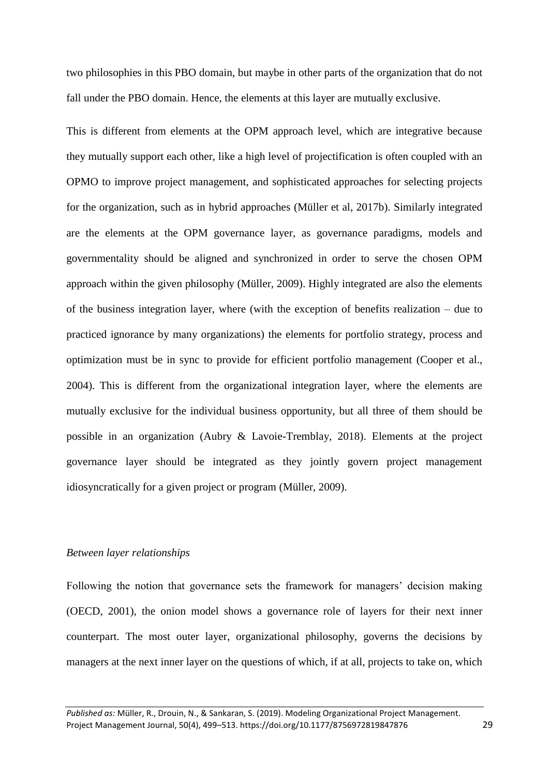two philosophies in this PBO domain, but maybe in other parts of the organization that do not fall under the PBO domain. Hence, the elements at this layer are mutually exclusive.

This is different from elements at the OPM approach level, which are integrative because they mutually support each other, like a high level of projectification is often coupled with an OPMO to improve project management, and sophisticated approaches for selecting projects for the organization, such as in hybrid approaches (Müller et al, 2017b). Similarly integrated are the elements at the OPM governance layer, as governance paradigms, models and governmentality should be aligned and synchronized in order to serve the chosen OPM approach within the given philosophy (Müller, 2009). Highly integrated are also the elements of the business integration layer, where (with the exception of benefits realization – due to practiced ignorance by many organizations) the elements for portfolio strategy, process and optimization must be in sync to provide for efficient portfolio management (Cooper et al., 2004). This is different from the organizational integration layer, where the elements are mutually exclusive for the individual business opportunity, but all three of them should be possible in an organization (Aubry & Lavoie-Tremblay, 2018). Elements at the project governance layer should be integrated as they jointly govern project management idiosyncratically for a given project or program (Müller, 2009).

# *Between layer relationships*

Following the notion that governance sets the framework for managers' decision making (OECD, 2001), the onion model shows a governance role of layers for their next inner counterpart. The most outer layer, organizational philosophy, governs the decisions by managers at the next inner layer on the questions of which, if at all, projects to take on, which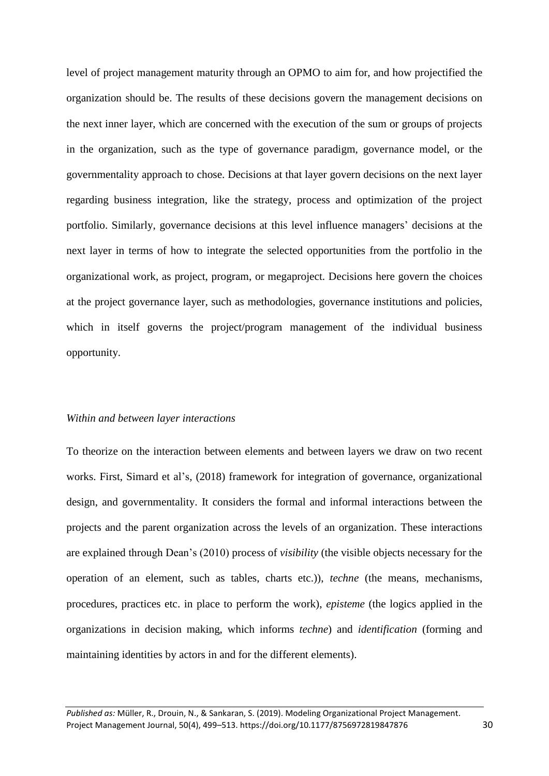level of project management maturity through an OPMO to aim for, and how projectified the organization should be. The results of these decisions govern the management decisions on the next inner layer, which are concerned with the execution of the sum or groups of projects in the organization, such as the type of governance paradigm, governance model, or the governmentality approach to chose. Decisions at that layer govern decisions on the next layer regarding business integration, like the strategy, process and optimization of the project portfolio. Similarly, governance decisions at this level influence managers' decisions at the next layer in terms of how to integrate the selected opportunities from the portfolio in the organizational work, as project, program, or megaproject. Decisions here govern the choices at the project governance layer, such as methodologies, governance institutions and policies, which in itself governs the project/program management of the individual business opportunity.

#### *Within and between layer interactions*

To theorize on the interaction between elements and between layers we draw on two recent works. First, Simard et al's, (2018) framework for integration of governance, organizational design, and governmentality. It considers the formal and informal interactions between the projects and the parent organization across the levels of an organization. These interactions are explained through Dean's (2010) process of *visibility* (the visible objects necessary for the operation of an element, such as tables, charts etc.)), *techne* (the means, mechanisms, procedures, practices etc. in place to perform the work), *episteme* (the logics applied in the organizations in decision making, which informs *techne*) and *identification* (forming and maintaining identities by actors in and for the different elements).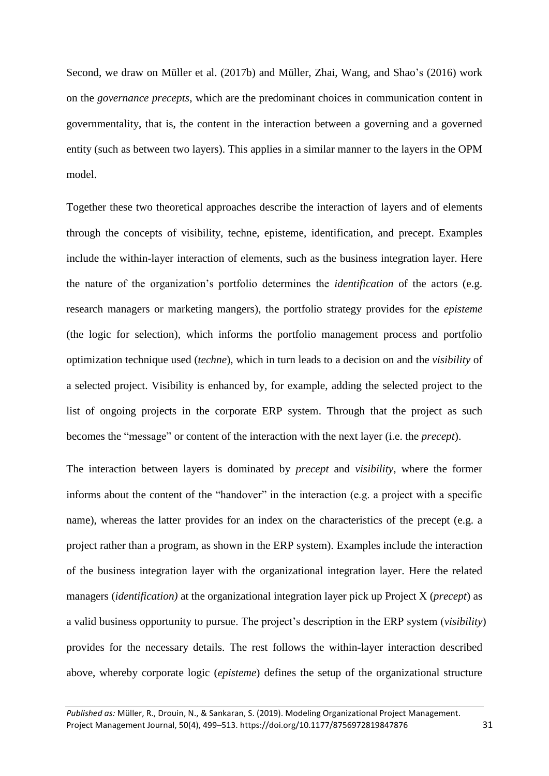Second, we draw on Müller et al. (2017b) and Müller, Zhai, Wang, and Shao's (2016) work on the *governance precepts*, which are the predominant choices in communication content in governmentality, that is, the content in the interaction between a governing and a governed entity (such as between two layers). This applies in a similar manner to the layers in the OPM model.

Together these two theoretical approaches describe the interaction of layers and of elements through the concepts of visibility, techne, episteme, identification, and precept. Examples include the within-layer interaction of elements, such as the business integration layer. Here the nature of the organization's portfolio determines the *identification* of the actors (e.g. research managers or marketing mangers), the portfolio strategy provides for the *episteme* (the logic for selection), which informs the portfolio management process and portfolio optimization technique used (*techne*), which in turn leads to a decision on and the *visibility* of a selected project. Visibility is enhanced by, for example, adding the selected project to the list of ongoing projects in the corporate ERP system. Through that the project as such becomes the "message" or content of the interaction with the next layer (i.e. the *precept*).

The interaction between layers is dominated by *precept* and *visibility*, where the former informs about the content of the "handover" in the interaction (e.g. a project with a specific name), whereas the latter provides for an index on the characteristics of the precept (e.g. a project rather than a program, as shown in the ERP system). Examples include the interaction of the business integration layer with the organizational integration layer. Here the related managers (*identification)* at the organizational integration layer pick up Project X (*precept*) as a valid business opportunity to pursue. The project's description in the ERP system (*visibility*) provides for the necessary details. The rest follows the within-layer interaction described above, whereby corporate logic (*episteme*) defines the setup of the organizational structure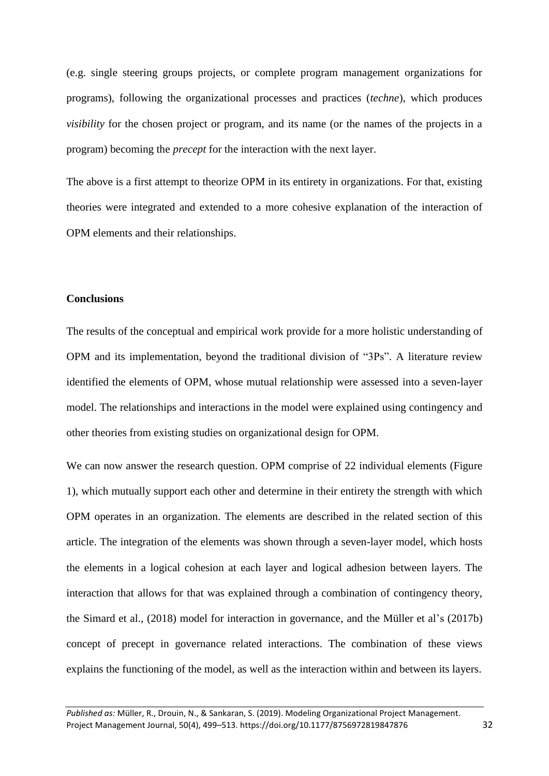(e.g. single steering groups projects, or complete program management organizations for programs), following the organizational processes and practices (*techne*), which produces *visibility* for the chosen project or program, and its name (or the names of the projects in a program) becoming the *precept* for the interaction with the next layer.

The above is a first attempt to theorize OPM in its entirety in organizations. For that, existing theories were integrated and extended to a more cohesive explanation of the interaction of OPM elements and their relationships.

## **Conclusions**

The results of the conceptual and empirical work provide for a more holistic understanding of OPM and its implementation, beyond the traditional division of "3Ps". A literature review identified the elements of OPM, whose mutual relationship were assessed into a seven-layer model. The relationships and interactions in the model were explained using contingency and other theories from existing studies on organizational design for OPM.

We can now answer the research question. OPM comprise of 22 individual elements (Figure 1), which mutually support each other and determine in their entirety the strength with which OPM operates in an organization. The elements are described in the related section of this article. The integration of the elements was shown through a seven-layer model, which hosts the elements in a logical cohesion at each layer and logical adhesion between layers. The interaction that allows for that was explained through a combination of contingency theory, the Simard et al., (2018) model for interaction in governance, and the Müller et al's (2017b) concept of precept in governance related interactions. The combination of these views explains the functioning of the model, as well as the interaction within and between its layers.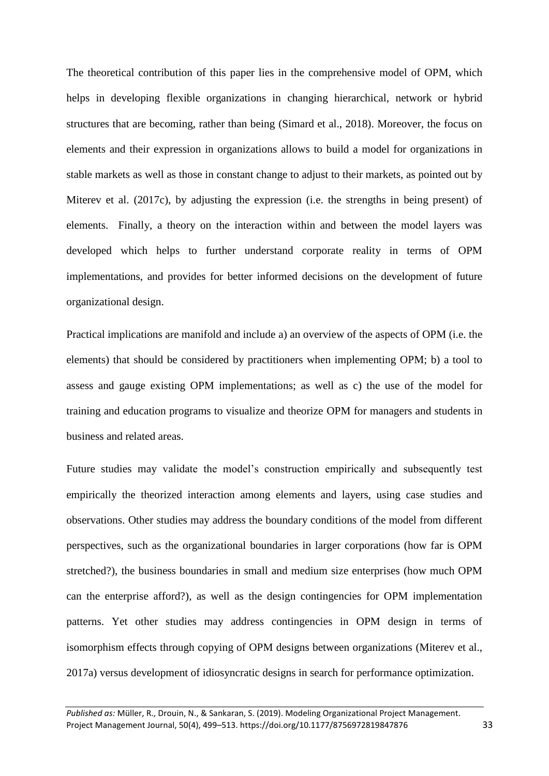The theoretical contribution of this paper lies in the comprehensive model of OPM, which helps in developing flexible organizations in changing hierarchical, network or hybrid structures that are becoming, rather than being (Simard et al., 2018). Moreover, the focus on elements and their expression in organizations allows to build a model for organizations in stable markets as well as those in constant change to adjust to their markets, as pointed out by Miterev et al. (2017c), by adjusting the expression (i.e. the strengths in being present) of elements. Finally, a theory on the interaction within and between the model layers was developed which helps to further understand corporate reality in terms of OPM implementations, and provides for better informed decisions on the development of future organizational design.

Practical implications are manifold and include a) an overview of the aspects of OPM (i.e. the elements) that should be considered by practitioners when implementing OPM; b) a tool to assess and gauge existing OPM implementations; as well as c) the use of the model for training and education programs to visualize and theorize OPM for managers and students in business and related areas.

Future studies may validate the model's construction empirically and subsequently test empirically the theorized interaction among elements and layers, using case studies and observations. Other studies may address the boundary conditions of the model from different perspectives, such as the organizational boundaries in larger corporations (how far is OPM stretched?), the business boundaries in small and medium size enterprises (how much OPM can the enterprise afford?), as well as the design contingencies for OPM implementation patterns. Yet other studies may address contingencies in OPM design in terms of isomorphism effects through copying of OPM designs between organizations (Miterev et al., 2017a) versus development of idiosyncratic designs in search for performance optimization.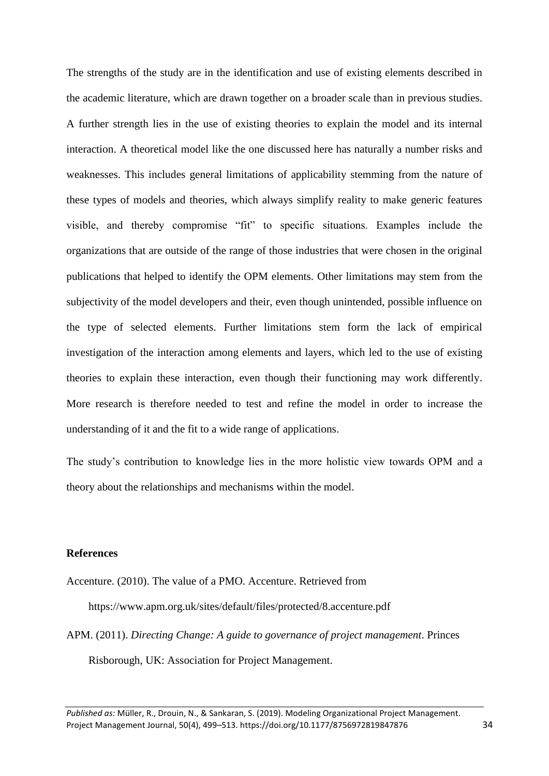The strengths of the study are in the identification and use of existing elements described in the academic literature, which are drawn together on a broader scale than in previous studies. A further strength lies in the use of existing theories to explain the model and its internal interaction. A theoretical model like the one discussed here has naturally a number risks and weaknesses. This includes general limitations of applicability stemming from the nature of these types of models and theories, which always simplify reality to make generic features visible, and thereby compromise "fit" to specific situations. Examples include the organizations that are outside of the range of those industries that were chosen in the original publications that helped to identify the OPM elements. Other limitations may stem from the subjectivity of the model developers and their, even though unintended, possible influence on the type of selected elements. Further limitations stem form the lack of empirical investigation of the interaction among elements and layers, which led to the use of existing theories to explain these interaction, even though their functioning may work differently. More research is therefore needed to test and refine the model in order to increase the understanding of it and the fit to a wide range of applications.

The study's contribution to knowledge lies in the more holistic view towards OPM and a theory about the relationships and mechanisms within the model.

#### **References**

Accenture. (2010). The value of a PMO. Accenture. Retrieved from

https://www.apm.org.uk/sites/default/files/protected/8.accenture.pdf

APM. (2011). *Directing Change: A guide to governance of project management*. Princes Risborough, UK: Association for Project Management.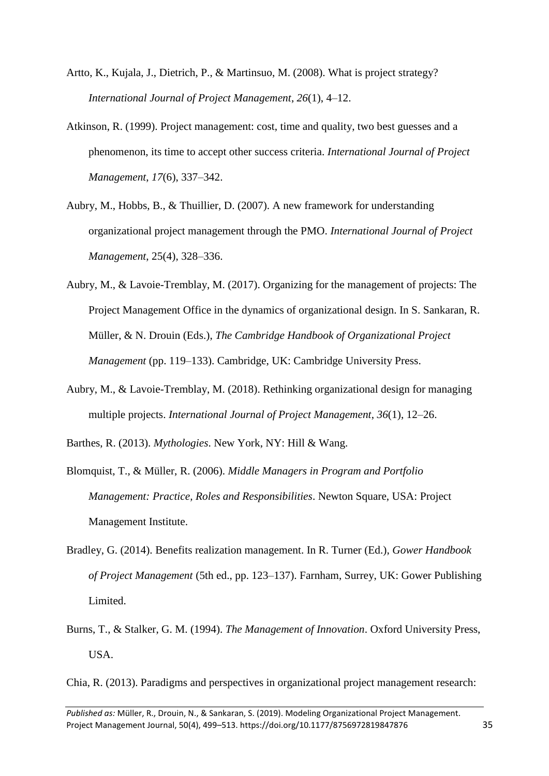- Artto, K., Kujala, J., Dietrich, P., & Martinsuo, M. (2008). What is project strategy? *International Journal of Project Management*, *26*(1), 4–12.
- Atkinson, R. (1999). Project management: cost, time and quality, two best guesses and a phenomenon, its time to accept other success criteria. *International Journal of Project Management*, *17*(6), 337–342.
- Aubry, M., Hobbs, B., & Thuillier, D. (2007). A new framework for understanding organizational project management through the PMO. *International Journal of Project Management*, 25(4), 328–336.
- Aubry, M., & Lavoie-Tremblay, M. (2017). Organizing for the management of projects: The Project Management Office in the dynamics of organizational design. In S. Sankaran, R. Müller, & N. Drouin (Eds.), *The Cambridge Handbook of Organizational Project Management* (pp. 119–133). Cambridge, UK: Cambridge University Press.
- Aubry, M., & Lavoie-Tremblay, M. (2018). Rethinking organizational design for managing multiple projects. *International Journal of Project Management*, *36*(1), 12–26.
- Barthes, R. (2013). *Mythologies*. New York, NY: Hill & Wang.
- Blomquist, T., & Müller, R. (2006). *Middle Managers in Program and Portfolio Management: Practice, Roles and Responsibilities*. Newton Square, USA: Project Management Institute.
- Bradley, G. (2014). Benefits realization management. In R. Turner (Ed.), *Gower Handbook of Project Management* (5th ed., pp. 123–137). Farnham, Surrey, UK: Gower Publishing Limited.
- Burns, T., & Stalker, G. M. (1994). *The Management of Innovation*. Oxford University Press, USA.

Chia, R. (2013). Paradigms and perspectives in organizational project management research: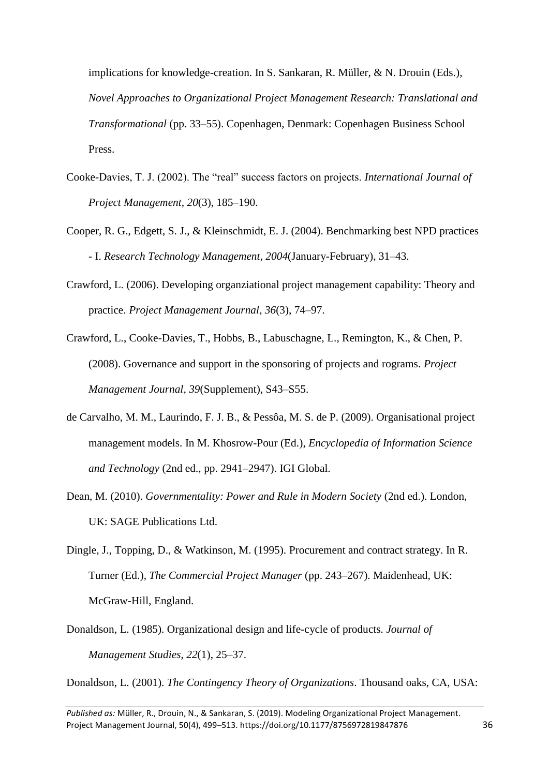implications for knowledge-creation. In S. Sankaran, R. Müller, & N. Drouin (Eds.), *Novel Approaches to Organizational Project Management Research: Translational and Transformational* (pp. 33–55). Copenhagen, Denmark: Copenhagen Business School Press.

- Cooke-Davies, T. J. (2002). The "real" success factors on projects. *International Journal of Project Management*, *20*(3), 185–190.
- Cooper, R. G., Edgett, S. J., & Kleinschmidt, E. J. (2004). Benchmarking best NPD practices - I. *Research Technology Management*, *2004*(January-February), 31–43.
- Crawford, L. (2006). Developing organziational project management capability: Theory and practice. *Project Management Journal*, *36*(3), 74–97.
- Crawford, L., Cooke-Davies, T., Hobbs, B., Labuschagne, L., Remington, K., & Chen, P. (2008). Governance and support in the sponsoring of projects and rograms. *Project Management Journal*, *39*(Supplement), S43–S55.
- de Carvalho, M. M., Laurindo, F. J. B., & Pessôa, M. S. de P. (2009). Organisational project management models. In M. Khosrow-Pour (Ed.), *Encyclopedia of Information Science and Technology* (2nd ed., pp. 2941–2947). IGI Global.
- Dean, M. (2010). *Governmentality: Power and Rule in Modern Society* (2nd ed.). London, UK: SAGE Publications Ltd.
- Dingle, J., Topping, D., & Watkinson, M. (1995). Procurement and contract strategy. In R. Turner (Ed.), *The Commercial Project Manager* (pp. 243–267). Maidenhead, UK: McGraw-Hill, England.
- Donaldson, L. (1985). Organizational design and life-cycle of products. *Journal of Management Studies*, *22*(1), 25–37.

Donaldson, L. (2001). *The Contingency Theory of Organizations*. Thousand oaks, CA, USA:

*Published as:* Müller, R., Drouin, N., & Sankaran, S. (2019). Modeling Organizational Project Management. Project Management Journal, 50(4), 499–513. https://doi.org/10.1177/8756972819847876 36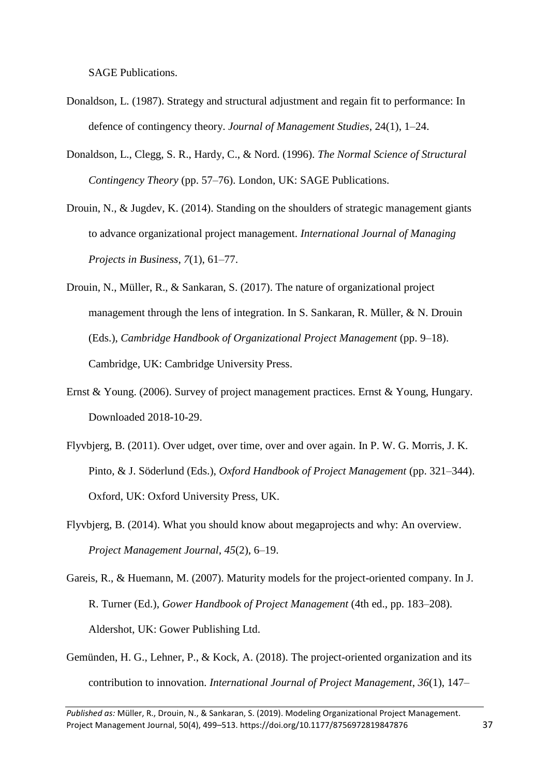SAGE Publications.

- Donaldson, L. (1987). Strategy and structural adjustment and regain fit to performance: In defence of contingency theory. *Journal of Management Studies*, 24(1), 1–24.
- Donaldson, L., Clegg, S. R., Hardy, C., & Nord. (1996). *The Normal Science of Structural Contingency Theory* (pp. 57–76). London, UK: SAGE Publications.
- Drouin, N., & Jugdev, K. (2014). Standing on the shoulders of strategic management giants to advance organizational project management. *International Journal of Managing Projects in Business*, *7*(1), 61–77.
- Drouin, N., Müller, R., & Sankaran, S. (2017). The nature of organizational project management through the lens of integration. In S. Sankaran, R. Müller, & N. Drouin (Eds.), *Cambridge Handbook of Organizational Project Management* (pp. 9–18). Cambridge, UK: Cambridge University Press.
- Ernst & Young. (2006). Survey of project management practices. Ernst & Young, Hungary. Downloaded 2018-10-29.
- Flyvbjerg, B. (2011). Over udget, over time, over and over again. In P. W. G. Morris, J. K. Pinto, & J. Söderlund (Eds.), *Oxford Handbook of Project Management* (pp. 321–344). Oxford, UK: Oxford University Press, UK.
- Flyvbjerg, B. (2014). What you should know about megaprojects and why: An overview. *Project Management Journal*, *45*(2), 6–19.
- Gareis, R., & Huemann, M. (2007). Maturity models for the project-oriented company. In J. R. Turner (Ed.), *Gower Handbook of Project Management* (4th ed., pp. 183–208). Aldershot, UK: Gower Publishing Ltd.
- Gemünden, H. G., Lehner, P., & Kock, A. (2018). The project-oriented organization and its contribution to innovation. *International Journal of Project Management*, *36*(1), 147–

*Published as:* Müller, R., Drouin, N., & Sankaran, S. (2019). Modeling Organizational Project Management. Project Management Journal, 50(4), 499–513. https://doi.org/10.1177/8756972819847876 37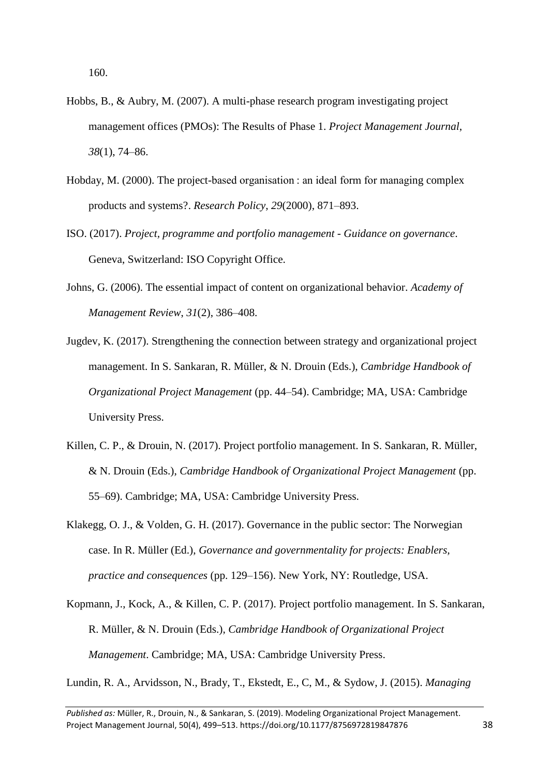160.

- Hobbs, B., & Aubry, M. (2007). A multi-phase research program investigating project management offices (PMOs): The Results of Phase 1. *Project Management Journal*, *38*(1), 74–86.
- Hobday, M. (2000). The project-based organisation : an ideal form for managing complex products and systems?. *Research Policy*, *29*(2000), 871–893.
- ISO. (2017). *Project, programme and portfolio management - Guidance on governance*. Geneva, Switzerland: ISO Copyright Office.
- Johns, G. (2006). The essential impact of content on organizational behavior. *Academy of Management Review*, *31*(2), 386–408.
- Jugdev, K. (2017). Strengthening the connection between strategy and organizational project management. In S. Sankaran, R. Müller, & N. Drouin (Eds.), *Cambridge Handbook of Organizational Project Management* (pp. 44–54). Cambridge; MA, USA: Cambridge University Press.
- Killen, C. P., & Drouin, N. (2017). Project portfolio management. In S. Sankaran, R. Müller, & N. Drouin (Eds.), *Cambridge Handbook of Organizational Project Management* (pp. 55–69). Cambridge; MA, USA: Cambridge University Press.
- Klakegg, O. J., & Volden, G. H. (2017). Governance in the public sector: The Norwegian case. In R. Müller (Ed.), *Governance and governmentality for projects: Enablers, practice and consequences* (pp. 129–156). New York, NY: Routledge, USA.
- Kopmann, J., Kock, A., & Killen, C. P. (2017). Project portfolio management. In S. Sankaran, R. Müller, & N. Drouin (Eds.), *Cambridge Handbook of Organizational Project Management*. Cambridge; MA, USA: Cambridge University Press.

Lundin, R. A., Arvidsson, N., Brady, T., Ekstedt, E., C, M., & Sydow, J. (2015). *Managing*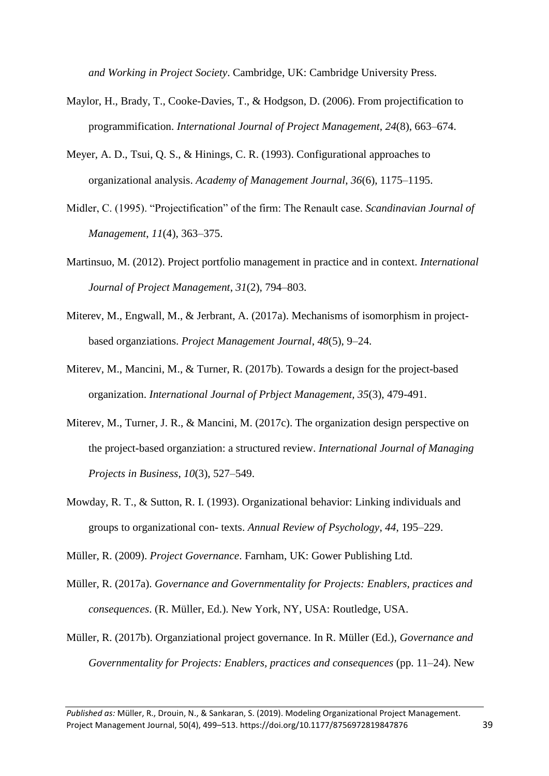*and Working in Project Society*. Cambridge, UK: Cambridge University Press.

- Maylor, H., Brady, T., Cooke-Davies, T., & Hodgson, D. (2006). From projectification to programmification. *International Journal of Project Management*, *24*(8), 663–674.
- Meyer, A. D., Tsui, Q. S., & Hinings, C. R. (1993). Configurational approaches to organizational analysis. *Academy of Management Journal*, *36*(6), 1175–1195.
- Midler, C. (1995). "Projectification" of the firm: The Renault case. *Scandinavian Journal of Management*, *11*(4), 363–375.
- Martinsuo, M. (2012). Project portfolio management in practice and in context. *International Journal of Project Management*, *31*(2), 794–803.
- Miterev, M., Engwall, M., & Jerbrant, A. (2017a). Mechanisms of isomorphism in projectbased organziations. *Project Management Journal*, *48*(5), 9–24.
- Miterev, M., Mancini, M., & Turner, R. (2017b). Towards a design for the project-based organization. *International Journal of Prbject Management, 35*(3), 479-491.
- Miterev, M., Turner, J. R., & Mancini, M. (2017c). The organization design perspective on the project-based organziation: a structured review. *International Journal of Managing Projects in Business*, *10*(3), 527–549.
- Mowday, R. T., & Sutton, R. I. (1993). Organizational behavior: Linking individuals and groups to organizational con- texts. *Annual Review of Psychology*, *44*, 195–229.

Müller, R. (2009). *Project Governance*. Farnham, UK: Gower Publishing Ltd.

- Müller, R. (2017a). *Governance and Governmentality for Projects: Enablers, practices and consequences*. (R. Müller, Ed.). New York, NY, USA: Routledge, USA.
- Müller, R. (2017b). Organziational project governance. In R. Müller (Ed.), *Governance and Governmentality for Projects: Enablers, practices and consequences* (pp. 11–24). New

*Published as:* Müller, R., Drouin, N., & Sankaran, S. (2019). Modeling Organizational Project Management. Project Management Journal, 50(4), 499–513. https://doi.org/10.1177/8756972819847876 39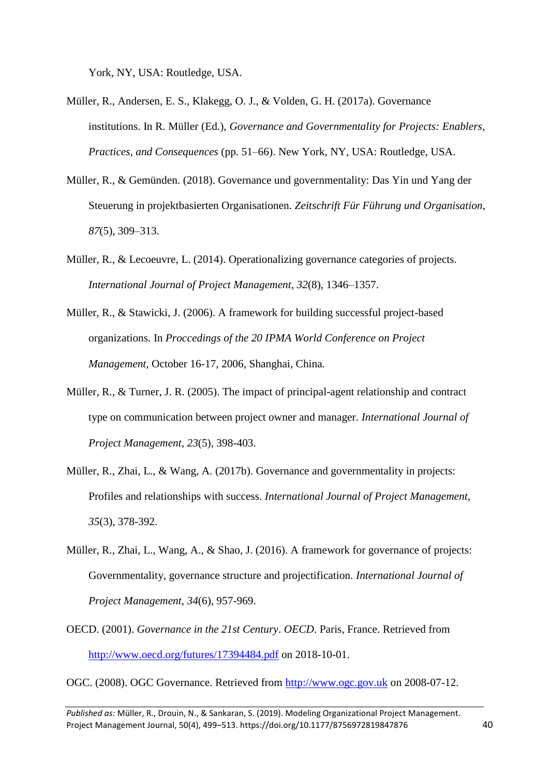York, NY, USA: Routledge, USA.

- Müller, R., Andersen, E. S., Klakegg, O. J., & Volden, G. H. (2017a). Governance institutions. In R. Müller (Ed.), *Governance and Governmentality for Projects: Enablers, Practices, and Consequences* (pp. 51–66). New York, NY, USA: Routledge, USA.
- Müller, R., & Gemünden. (2018). Governance und governmentality: Das Yin und Yang der Steuerung in projektbasierten Organisationen. *Zeitschrift Für Führung und Organisation*, *87*(5), 309–313.
- Müller, R., & Lecoeuvre, L. (2014). Operationalizing governance categories of projects. *International Journal of Project Management*, *32*(8), 1346–1357.
- Müller, R., & Stawicki, J. (2006). A framework for building successful project-based organizations. In *Proccedings of the 20 IPMA World Conference on Project Management,* October 16-17, 2006, Shanghai, China*.*
- Müller, R., & Turner, J. R. (2005). The impact of principal-agent relationship and contract type on communication between project owner and manager. *International Journal of Project Management*, *23*(5), 398-403.
- Müller, R., Zhai, L., & Wang, A. (2017b). Governance and governmentality in projects: Profiles and relationships with success. *International Journal of Project Management*, *35*(3), 378-392.
- Müller, R., Zhai, L., Wang, A., & Shao, J. (2016). A framework for governance of projects: Governmentality, governance structure and projectification. *International Journal of Project Management*, *34*(6), 957-969.
- OECD. (2001). *Governance in the 21st Century*. *OECD*. Paris, France. Retrieved from <http://www.oecd.org/futures/17394484.pdf> on 2018-10-01.

OGC. (2008). OGC Governance. Retrieved from [http://www.ogc.gov.uk](http://www.ogc.gov.uk/) on 2008-07-12.

*Published as:* Müller, R., Drouin, N., & Sankaran, S. (2019). Modeling Organizational Project Management. Project Management Journal, 50(4), 499–513. https://doi.org/10.1177/8756972819847876 40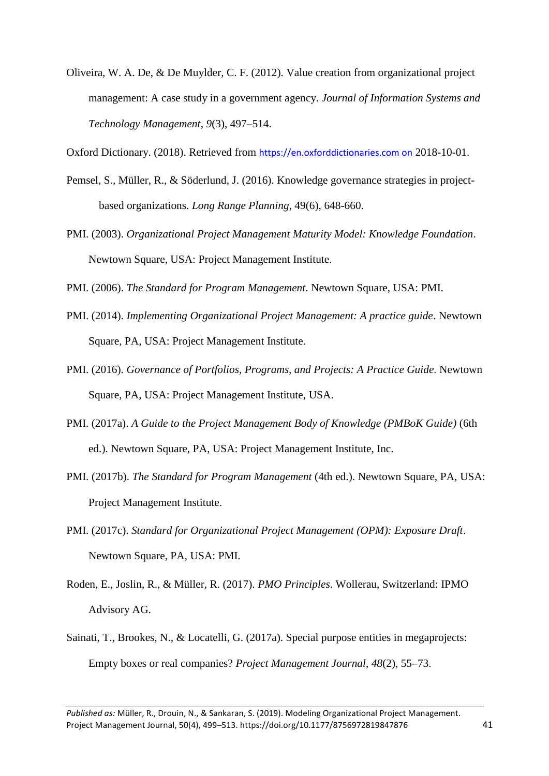Oliveira, W. A. De, & De Muylder, C. F. (2012). Value creation from organizational project management: A case study in a government agency. *Journal of Information Systems and Technology Management*, *9*(3), 497–514.

Oxford Dictionary. (2018). Retrieved from https://en.oxforddictionaries.com on 2018-10-01.

- Pemsel, S., Müller, R., & Söderlund, J. (2016). Knowledge governance strategies in projectbased organizations. *Long Range Planning*, 49(6), 648-660.
- PMI. (2003). *Organizational Project Management Maturity Model: Knowledge Foundation*. Newtown Square, USA: Project Management Institute.
- PMI. (2006). *The Standard for Program Management*. Newtown Square, USA: PMI.
- PMI. (2014). *Implementing Organizational Project Management: A practice guide*. Newtown Square, PA, USA: Project Management Institute.
- PMI. (2016). *Governance of Portfolios, Programs, and Projects: A Practice Guide*. Newtown Square, PA, USA: Project Management Institute, USA.
- PMI. (2017a). *A Guide to the Project Management Body of Knowledge (PMBoK Guide)* (6th ed.). Newtown Square, PA, USA: Project Management Institute, Inc.
- PMI. (2017b). *The Standard for Program Management* (4th ed.). Newtown Square, PA, USA: Project Management Institute.
- PMI. (2017c). *Standard for Organizational Project Management (OPM): Exposure Draft*. Newtown Square, PA, USA: PMI.
- Roden, E., Joslin, R., & Müller, R. (2017). *PMO Principles*. Wollerau, Switzerland: IPMO Advisory AG.
- Sainati, T., Brookes, N., & Locatelli, G. (2017a). Special purpose entities in megaprojects: Empty boxes or real companies? *Project Management Journal*, *48*(2), 55–73.

*Published as:* Müller, R., Drouin, N., & Sankaran, S. (2019). Modeling Organizational Project Management. Project Management Journal, 50(4), 499–513. https://doi.org/10.1177/8756972819847876 41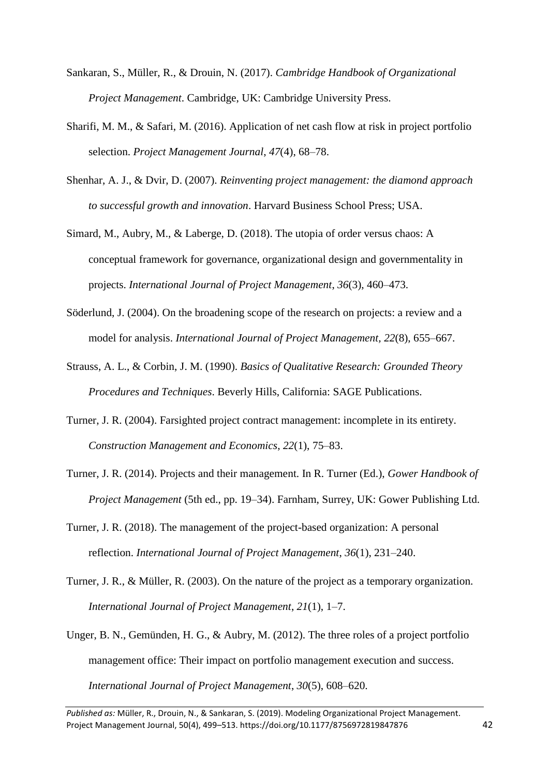- Sankaran, S., Müller, R., & Drouin, N. (2017). *Cambridge Handbook of Organizational Project Management*. Cambridge, UK: Cambridge University Press.
- Sharifi, M. M., & Safari, M. (2016). Application of net cash flow at risk in project portfolio selection. *Project Management Journal*, *47*(4), 68–78.
- Shenhar, A. J., & Dvir, D. (2007). *Reinventing project management: the diamond approach to successful growth and innovation*. Harvard Business School Press; USA.
- Simard, M., Aubry, M., & Laberge, D. (2018). The utopia of order versus chaos: A conceptual framework for governance, organizational design and governmentality in projects. *International Journal of Project Management*, *36*(3), 460–473.
- Söderlund, J. (2004). On the broadening scope of the research on projects: a review and a model for analysis. *International Journal of Project Management, 22*(8), 655–667.
- Strauss, A. L., & Corbin, J. M. (1990). *Basics of Qualitative Research: Grounded Theory Procedures and Techniques*. Beverly Hills, California: SAGE Publications.
- Turner, J. R. (2004). Farsighted project contract management: incomplete in its entirety. *Construction Management and Economics*, *22*(1), 75–83.
- Turner, J. R. (2014). Projects and their management. In R. Turner (Ed.), *Gower Handbook of Project Management* (5th ed., pp. 19–34). Farnham, Surrey, UK: Gower Publishing Ltd.
- Turner, J. R. (2018). The management of the project-based organization: A personal reflection. *International Journal of Project Management*, *36*(1), 231–240.
- Turner, J. R., & Müller, R. (2003). On the nature of the project as a temporary organization. *International Journal of Project Management*, *21*(1), 1–7.
- Unger, B. N., Gemünden, H. G., & Aubry, M. (2012). The three roles of a project portfolio management office: Their impact on portfolio management execution and success. *International Journal of Project Management*, *30*(5), 608–620.

*Published as:* Müller, R., Drouin, N., & Sankaran, S. (2019). Modeling Organizational Project Management. Project Management Journal, 50(4), 499–513. https://doi.org/10.1177/8756972819847876 42